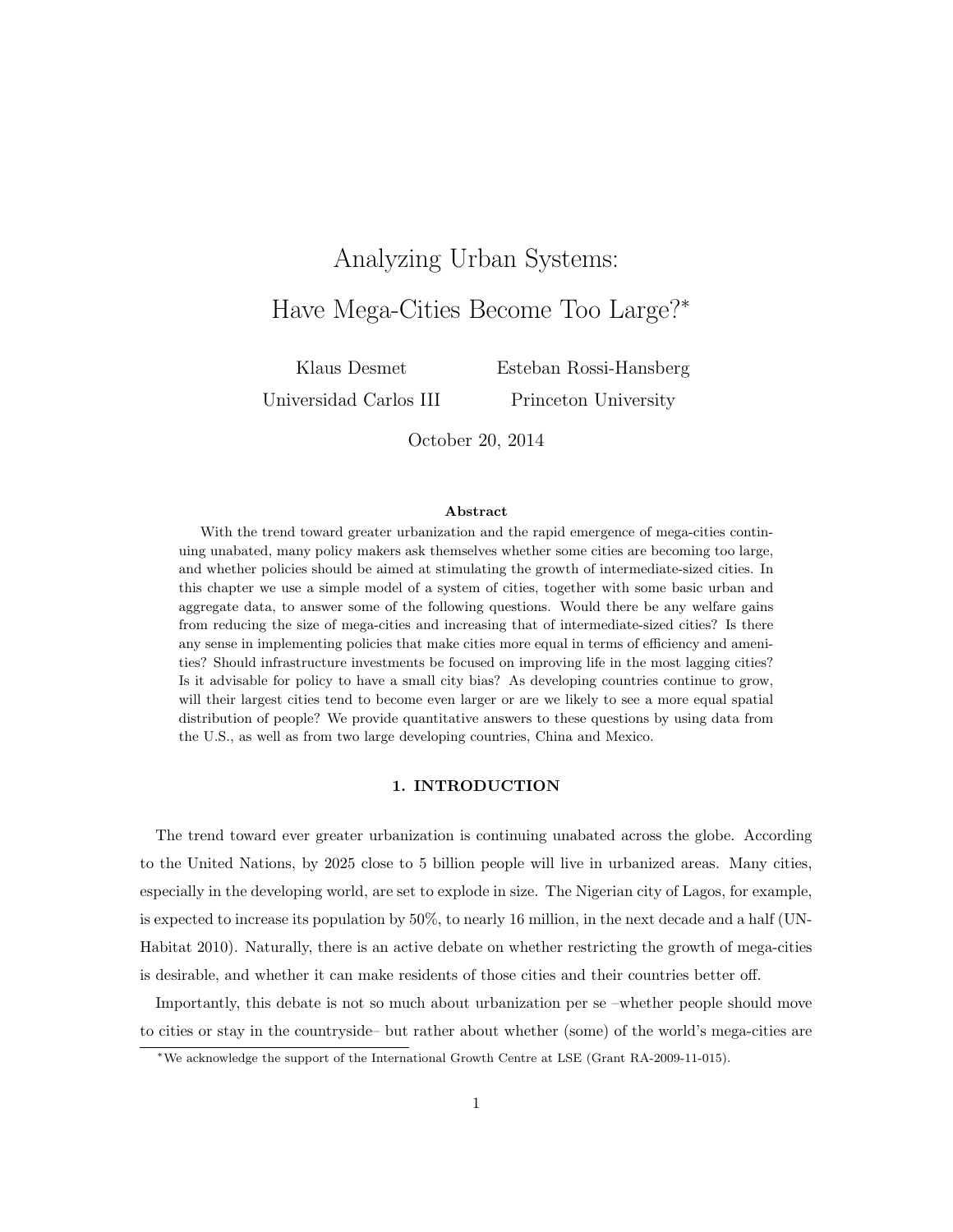# Analyzing Urban Systems: Have Mega-Cities Become Too Large?<sup>∗</sup>

Klaus Desmet

Esteban Rossi-Hansberg

Universidad Carlos III

Princeton University

October 20, 2014

## Abstract

With the trend toward greater urbanization and the rapid emergence of mega-cities continuing unabated, many policy makers ask themselves whether some cities are becoming too large, and whether policies should be aimed at stimulating the growth of intermediate-sized cities. In this chapter we use a simple model of a system of cities, together with some basic urban and aggregate data, to answer some of the following questions. Would there be any welfare gains from reducing the size of mega-cities and increasing that of intermediate-sized cities? Is there any sense in implementing policies that make cities more equal in terms of efficiency and amenities? Should infrastructure investments be focused on improving life in the most lagging cities? Is it advisable for policy to have a small city bias? As developing countries continue to grow, will their largest cities tend to become even larger or are we likely to see a more equal spatial distribution of people? We provide quantitative answers to these questions by using data from the U.S., as well as from two large developing countries, China and Mexico.

## 1. INTRODUCTION

The trend toward ever greater urbanization is continuing unabated across the globe. According to the United Nations, by 2025 close to 5 billion people will live in urbanized areas. Many cities, especially in the developing world, are set to explode in size. The Nigerian city of Lagos, for example, is expected to increase its population by 50%, to nearly 16 million, in the next decade and a half (UN-Habitat 2010). Naturally, there is an active debate on whether restricting the growth of mega-cities is desirable, and whether it can make residents of those cities and their countries better off.

Importantly, this debate is not so much about urbanization per se –whether people should move to cities or stay in the countryside– but rather about whether (some) of the world's mega-cities are

<sup>∗</sup>We acknowledge the support of the International Growth Centre at LSE (Grant RA-2009-11-015).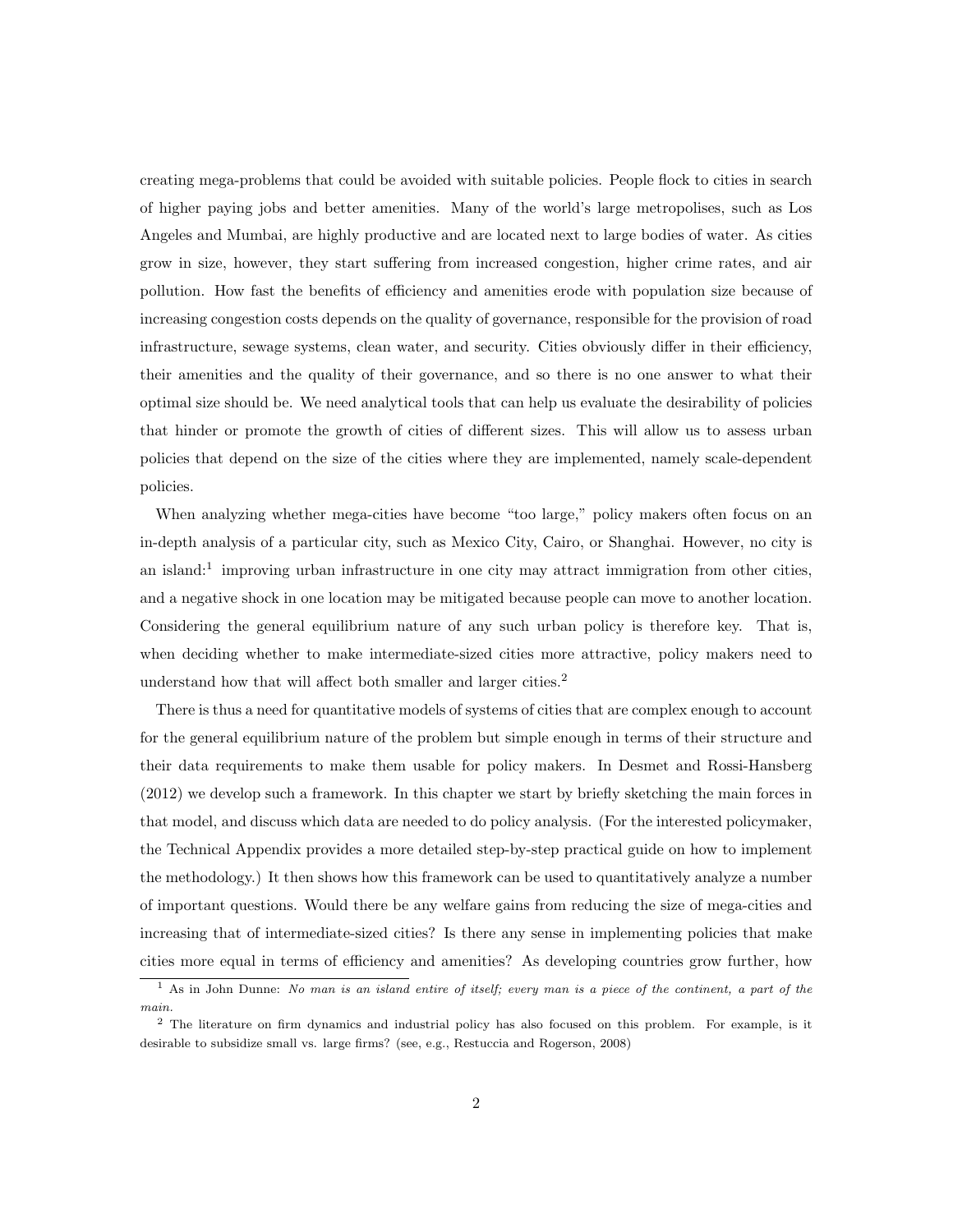creating mega-problems that could be avoided with suitable policies. People flock to cities in search of higher paying jobs and better amenities. Many of the world's large metropolises, such as Los Angeles and Mumbai, are highly productive and are located next to large bodies of water. As cities grow in size, however, they start suffering from increased congestion, higher crime rates, and air pollution. How fast the benefits of efficiency and amenities erode with population size because of increasing congestion costs depends on the quality of governance, responsible for the provision of road infrastructure, sewage systems, clean water, and security. Cities obviously differ in their efficiency, their amenities and the quality of their governance, and so there is no one answer to what their optimal size should be. We need analytical tools that can help us evaluate the desirability of policies that hinder or promote the growth of cities of different sizes. This will allow us to assess urban policies that depend on the size of the cities where they are implemented, namely scale-dependent policies.

When analyzing whether mega-cities have become "too large," policy makers often focus on an in-depth analysis of a particular city, such as Mexico City, Cairo, or Shanghai. However, no city is an island:<sup>1</sup> improving urban infrastructure in one city may attract immigration from other cities, and a negative shock in one location may be mitigated because people can move to another location. Considering the general equilibrium nature of any such urban policy is therefore key. That is, when deciding whether to make intermediate-sized cities more attractive, policy makers need to understand how that will affect both smaller and larger cities.<sup>2</sup>

There is thus a need for quantitative models of systems of cities that are complex enough to account for the general equilibrium nature of the problem but simple enough in terms of their structure and their data requirements to make them usable for policy makers. In Desmet and Rossi-Hansberg (2012) we develop such a framework. In this chapter we start by briefly sketching the main forces in that model, and discuss which data are needed to do policy analysis. (For the interested policymaker, the Technical Appendix provides a more detailed step-by-step practical guide on how to implement the methodology.) It then shows how this framework can be used to quantitatively analyze a number of important questions. Would there be any welfare gains from reducing the size of mega-cities and increasing that of intermediate-sized cities? Is there any sense in implementing policies that make cities more equal in terms of efficiency and amenities? As developing countries grow further, how

<sup>&</sup>lt;sup>1</sup> As in John Dunne: No man is an island entire of itself; every man is a piece of the continent, a part of the main.

<sup>2</sup> The literature on firm dynamics and industrial policy has also focused on this problem. For example, is it desirable to subsidize small vs. large firms? (see, e.g., Restuccia and Rogerson, 2008)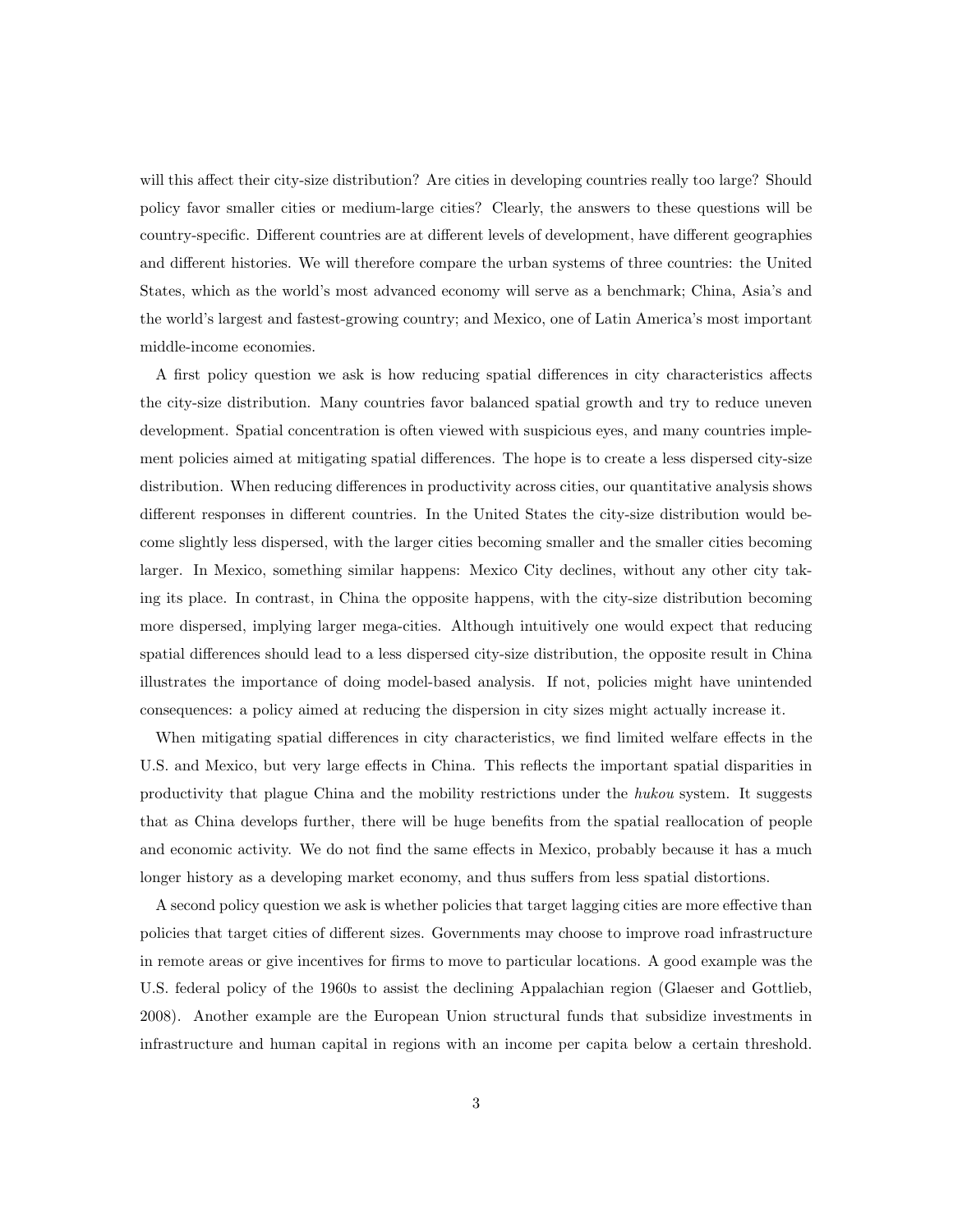will this affect their city-size distribution? Are cities in developing countries really too large? Should policy favor smaller cities or medium-large cities? Clearly, the answers to these questions will be country-specific. Different countries are at different levels of development, have different geographies and different histories. We will therefore compare the urban systems of three countries: the United States, which as the world's most advanced economy will serve as a benchmark; China, Asia's and the world's largest and fastest-growing country; and Mexico, one of Latin America's most important middle-income economies.

A first policy question we ask is how reducing spatial differences in city characteristics affects the city-size distribution. Many countries favor balanced spatial growth and try to reduce uneven development. Spatial concentration is often viewed with suspicious eyes, and many countries implement policies aimed at mitigating spatial differences. The hope is to create a less dispersed city-size distribution. When reducing differences in productivity across cities, our quantitative analysis shows different responses in different countries. In the United States the city-size distribution would become slightly less dispersed, with the larger cities becoming smaller and the smaller cities becoming larger. In Mexico, something similar happens: Mexico City declines, without any other city taking its place. In contrast, in China the opposite happens, with the city-size distribution becoming more dispersed, implying larger mega-cities. Although intuitively one would expect that reducing spatial differences should lead to a less dispersed city-size distribution, the opposite result in China illustrates the importance of doing model-based analysis. If not, policies might have unintended consequences: a policy aimed at reducing the dispersion in city sizes might actually increase it.

When mitigating spatial differences in city characteristics, we find limited welfare effects in the U.S. and Mexico, but very large effects in China. This reflects the important spatial disparities in productivity that plague China and the mobility restrictions under the hukou system. It suggests that as China develops further, there will be huge benefits from the spatial reallocation of people and economic activity. We do not find the same effects in Mexico, probably because it has a much longer history as a developing market economy, and thus suffers from less spatial distortions.

A second policy question we ask is whether policies that target lagging cities are more effective than policies that target cities of different sizes. Governments may choose to improve road infrastructure in remote areas or give incentives for firms to move to particular locations. A good example was the U.S. federal policy of the 1960s to assist the declining Appalachian region (Glaeser and Gottlieb, 2008). Another example are the European Union structural funds that subsidize investments in infrastructure and human capital in regions with an income per capita below a certain threshold.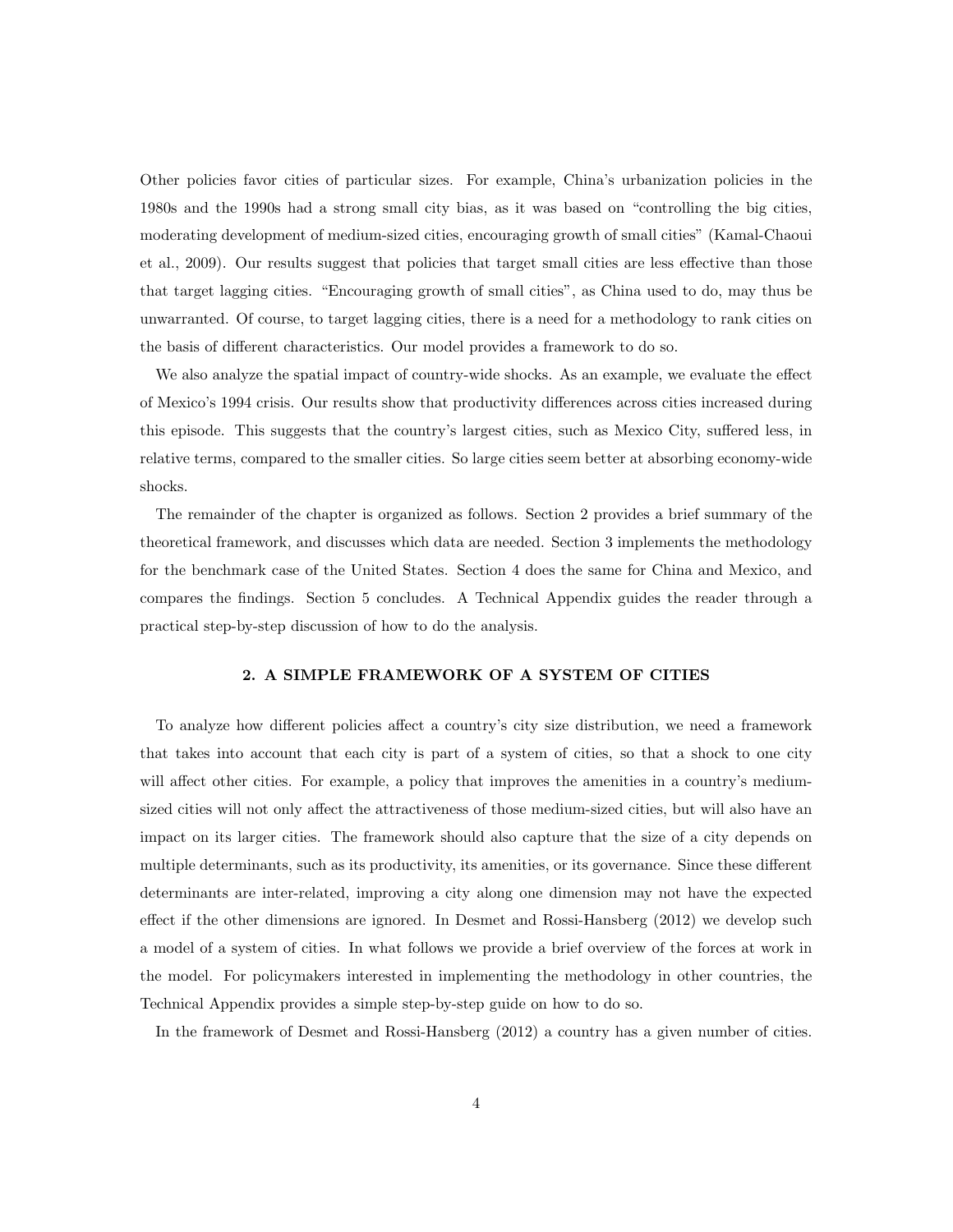Other policies favor cities of particular sizes. For example, China's urbanization policies in the 1980s and the 1990s had a strong small city bias, as it was based on "controlling the big cities, moderating development of medium-sized cities, encouraging growth of small cities" (Kamal-Chaoui et al., 2009). Our results suggest that policies that target small cities are less effective than those that target lagging cities. "Encouraging growth of small cities", as China used to do, may thus be unwarranted. Of course, to target lagging cities, there is a need for a methodology to rank cities on the basis of different characteristics. Our model provides a framework to do so.

We also analyze the spatial impact of country-wide shocks. As an example, we evaluate the effect of Mexico's 1994 crisis. Our results show that productivity differences across cities increased during this episode. This suggests that the country's largest cities, such as Mexico City, suffered less, in relative terms, compared to the smaller cities. So large cities seem better at absorbing economy-wide shocks.

The remainder of the chapter is organized as follows. Section 2 provides a brief summary of the theoretical framework, and discusses which data are needed. Section 3 implements the methodology for the benchmark case of the United States. Section 4 does the same for China and Mexico, and compares the findings. Section 5 concludes. A Technical Appendix guides the reader through a practical step-by-step discussion of how to do the analysis.

# 2. A SIMPLE FRAMEWORK OF A SYSTEM OF CITIES

To analyze how different policies affect a country's city size distribution, we need a framework that takes into account that each city is part of a system of cities, so that a shock to one city will affect other cities. For example, a policy that improves the amenities in a country's mediumsized cities will not only affect the attractiveness of those medium-sized cities, but will also have an impact on its larger cities. The framework should also capture that the size of a city depends on multiple determinants, such as its productivity, its amenities, or its governance. Since these different determinants are inter-related, improving a city along one dimension may not have the expected effect if the other dimensions are ignored. In Desmet and Rossi-Hansberg (2012) we develop such a model of a system of cities. In what follows we provide a brief overview of the forces at work in the model. For policymakers interested in implementing the methodology in other countries, the Technical Appendix provides a simple step-by-step guide on how to do so.

In the framework of Desmet and Rossi-Hansberg (2012) a country has a given number of cities.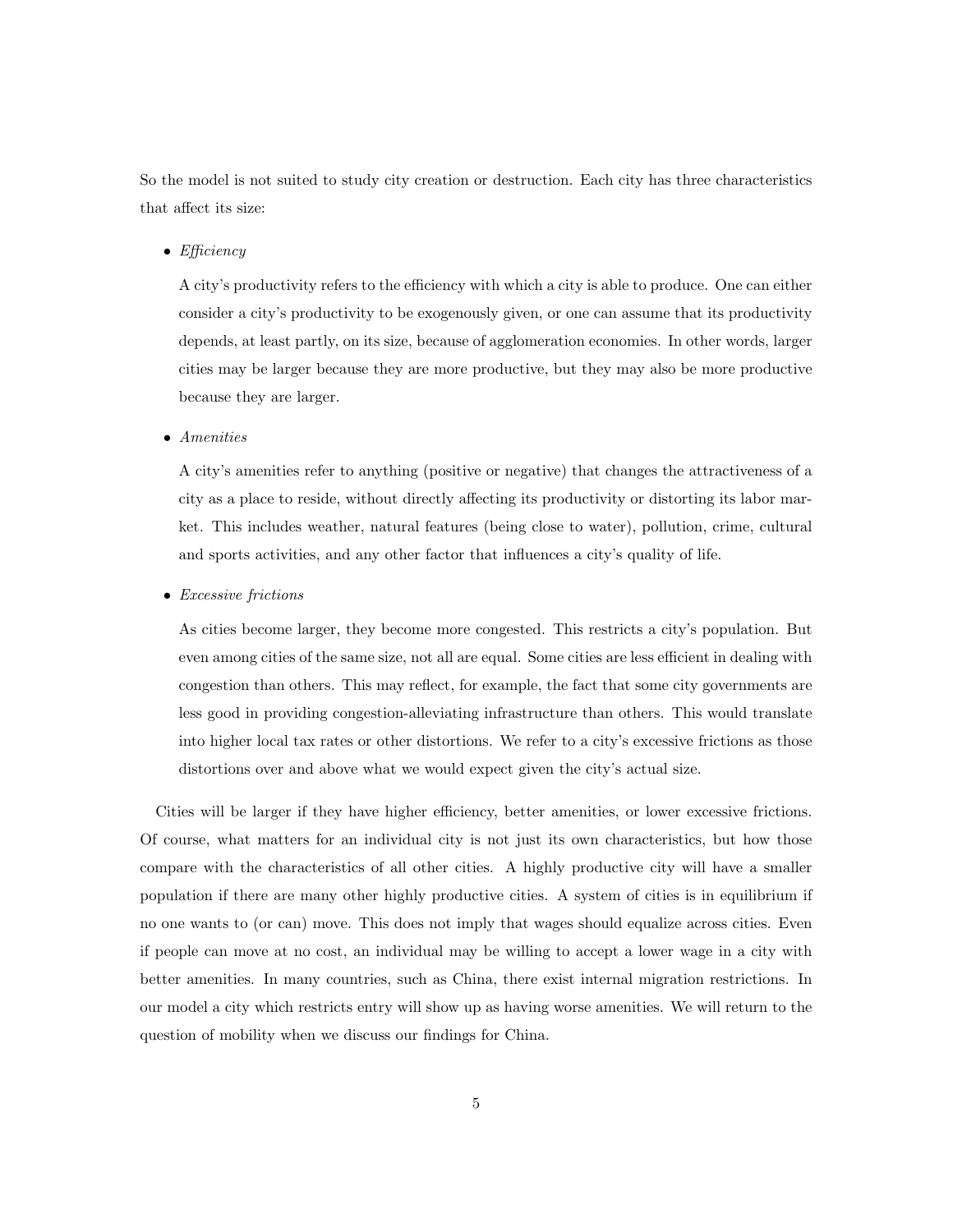So the model is not suited to study city creation or destruction. Each city has three characteristics that affect its size:

• Efficiency

A city's productivity refers to the efficiency with which a city is able to produce. One can either consider a city's productivity to be exogenously given, or one can assume that its productivity depends, at least partly, on its size, because of agglomeration economies. In other words, larger cities may be larger because they are more productive, but they may also be more productive because they are larger.

• Amenities

A city's amenities refer to anything (positive or negative) that changes the attractiveness of a city as a place to reside, without directly affecting its productivity or distorting its labor market. This includes weather, natural features (being close to water), pollution, crime, cultural and sports activities, and any other factor that influences a city's quality of life.

• Excessive frictions

As cities become larger, they become more congested. This restricts a city's population. But even among cities of the same size, not all are equal. Some cities are less efficient in dealing with congestion than others. This may reflect, for example, the fact that some city governments are less good in providing congestion-alleviating infrastructure than others. This would translate into higher local tax rates or other distortions. We refer to a city's excessive frictions as those distortions over and above what we would expect given the city's actual size.

Cities will be larger if they have higher efficiency, better amenities, or lower excessive frictions. Of course, what matters for an individual city is not just its own characteristics, but how those compare with the characteristics of all other cities. A highly productive city will have a smaller population if there are many other highly productive cities. A system of cities is in equilibrium if no one wants to (or can) move. This does not imply that wages should equalize across cities. Even if people can move at no cost, an individual may be willing to accept a lower wage in a city with better amenities. In many countries, such as China, there exist internal migration restrictions. In our model a city which restricts entry will show up as having worse amenities. We will return to the question of mobility when we discuss our findings for China.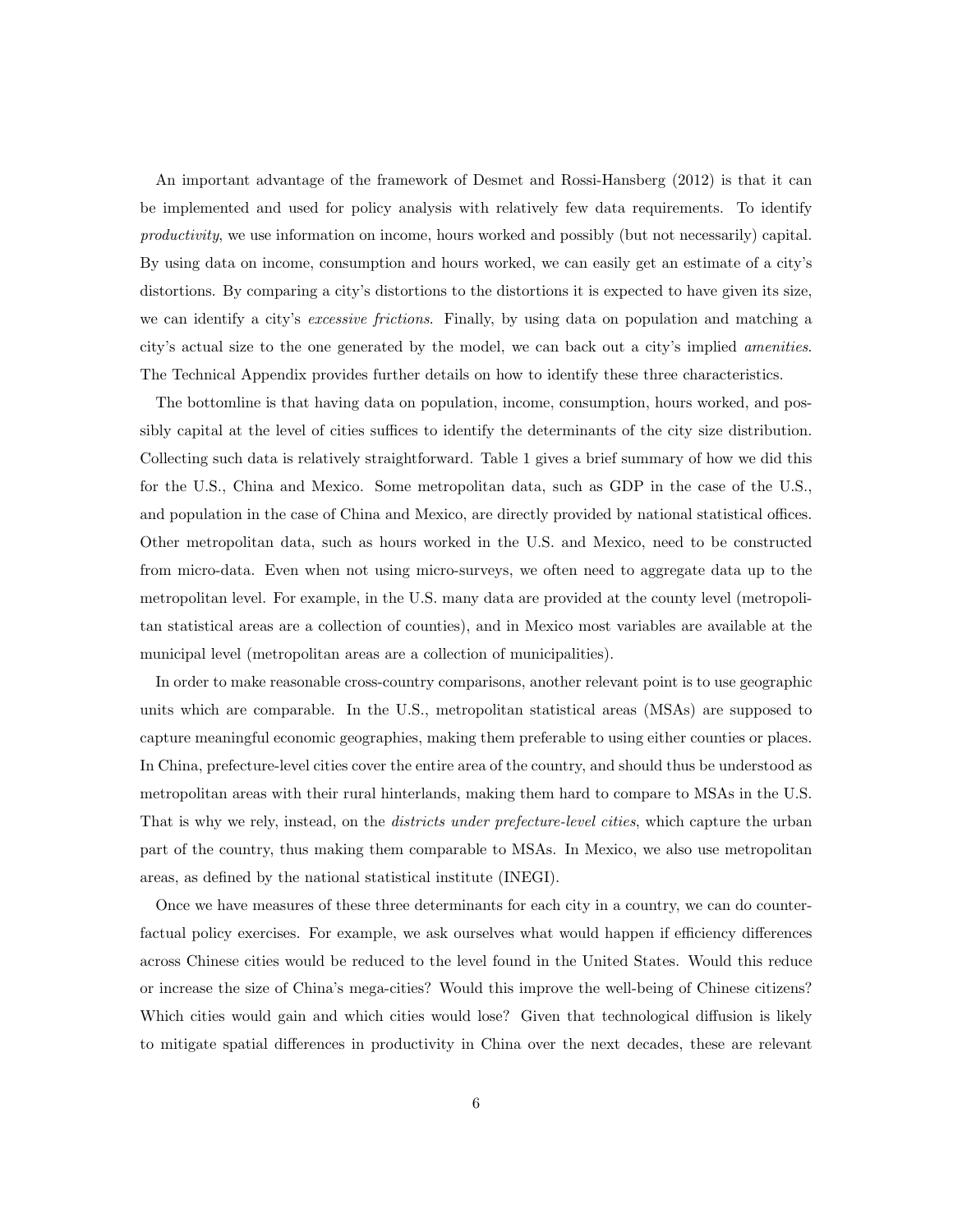An important advantage of the framework of Desmet and Rossi-Hansberg (2012) is that it can be implemented and used for policy analysis with relatively few data requirements. To identify productivity, we use information on income, hours worked and possibly (but not necessarily) capital. By using data on income, consumption and hours worked, we can easily get an estimate of a city's distortions. By comparing a city's distortions to the distortions it is expected to have given its size, we can identify a city's *excessive frictions*. Finally, by using data on population and matching a city's actual size to the one generated by the model, we can back out a city's implied amenities. The Technical Appendix provides further details on how to identify these three characteristics.

The bottomline is that having data on population, income, consumption, hours worked, and possibly capital at the level of cities suffices to identify the determinants of the city size distribution. Collecting such data is relatively straightforward. Table 1 gives a brief summary of how we did this for the U.S., China and Mexico. Some metropolitan data, such as GDP in the case of the U.S., and population in the case of China and Mexico, are directly provided by national statistical offices. Other metropolitan data, such as hours worked in the U.S. and Mexico, need to be constructed from micro-data. Even when not using micro-surveys, we often need to aggregate data up to the metropolitan level. For example, in the U.S. many data are provided at the county level (metropolitan statistical areas are a collection of counties), and in Mexico most variables are available at the municipal level (metropolitan areas are a collection of municipalities).

In order to make reasonable cross-country comparisons, another relevant point is to use geographic units which are comparable. In the U.S., metropolitan statistical areas (MSAs) are supposed to capture meaningful economic geographies, making them preferable to using either counties or places. In China, prefecture-level cities cover the entire area of the country, and should thus be understood as metropolitan areas with their rural hinterlands, making them hard to compare to MSAs in the U.S. That is why we rely, instead, on the *districts under prefecture-level cities*, which capture the urban part of the country, thus making them comparable to MSAs. In Mexico, we also use metropolitan areas, as defined by the national statistical institute (INEGI).

Once we have measures of these three determinants for each city in a country, we can do counterfactual policy exercises. For example, we ask ourselves what would happen if efficiency differences across Chinese cities would be reduced to the level found in the United States. Would this reduce or increase the size of China's mega-cities? Would this improve the well-being of Chinese citizens? Which cities would gain and which cities would lose? Given that technological diffusion is likely to mitigate spatial differences in productivity in China over the next decades, these are relevant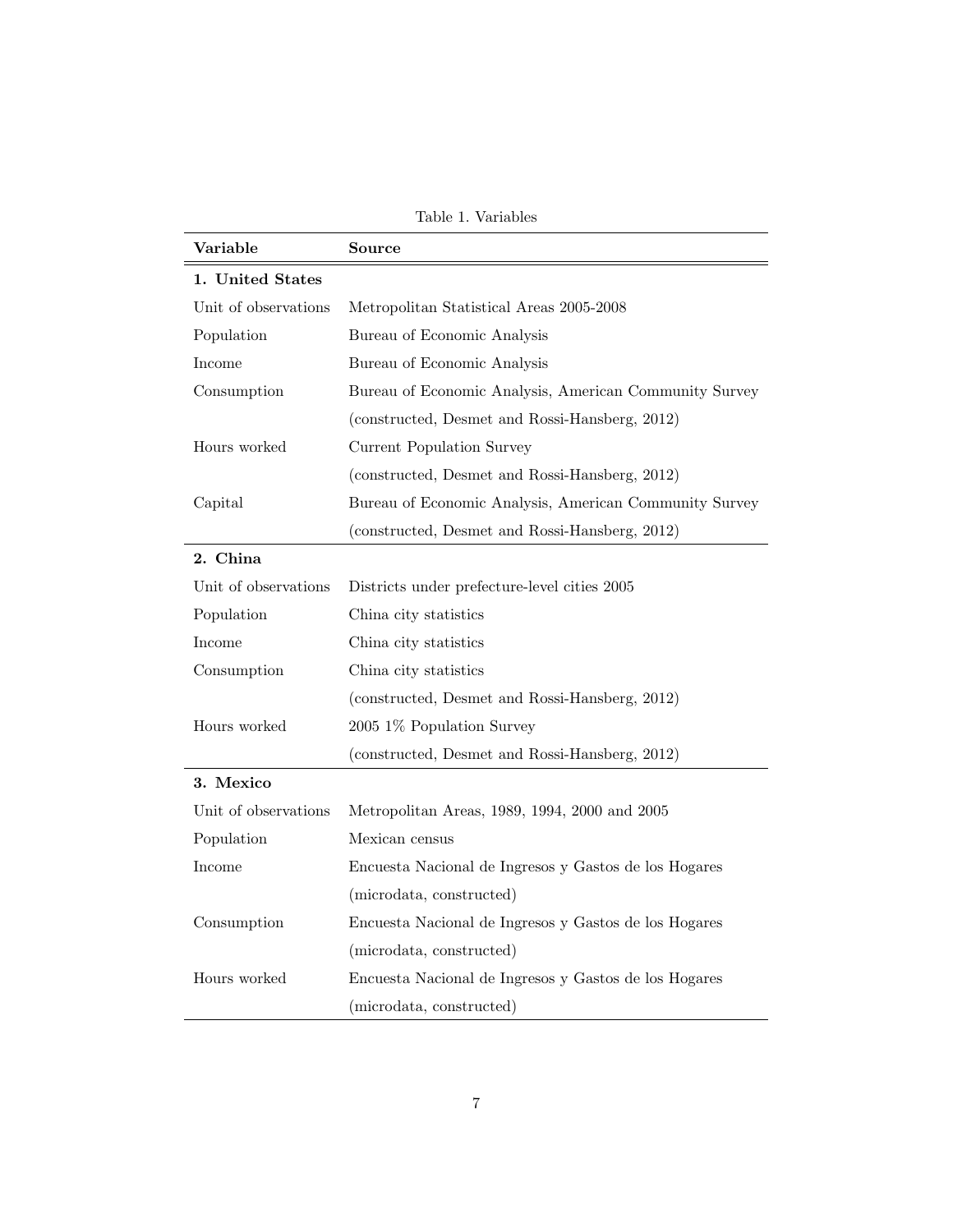Table 1. Variables

| Variable             | Source                                                 |  |
|----------------------|--------------------------------------------------------|--|
| 1. United States     |                                                        |  |
| Unit of observations | Metropolitan Statistical Areas 2005-2008               |  |
| Population           | Bureau of Economic Analysis                            |  |
| Income               | Bureau of Economic Analysis                            |  |
| Consumption          | Bureau of Economic Analysis, American Community Survey |  |
|                      | (constructed, Desmet and Rossi-Hansberg, 2012)         |  |
| Hours worked         | Current Population Survey                              |  |
|                      | (constructed, Desmet and Rossi-Hansberg, 2012)         |  |
| Capital              | Bureau of Economic Analysis, American Community Survey |  |
|                      | (constructed, Desmet and Rossi-Hansberg, 2012)         |  |
| 2. China             |                                                        |  |
| Unit of observations | Districts under prefecture-level cities 2005           |  |
| Population           | China city statistics                                  |  |
| Income               | China city statistics                                  |  |
| Consumption          | China city statistics                                  |  |
|                      | (constructed, Desmet and Rossi-Hansberg, 2012)         |  |
| Hours worked         | 2005 1% Population Survey                              |  |
|                      | (constructed, Desmet and Rossi-Hansberg, 2012)         |  |
| 3. Mexico            |                                                        |  |
| Unit of observations | Metropolitan Areas, 1989, 1994, 2000 and 2005          |  |
| Population           | Mexican census                                         |  |
| Income               | Encuesta Nacional de Ingresos y Gastos de los Hogares  |  |
|                      | (microdata, constructed)                               |  |
| Consumption          | Encuesta Nacional de Ingresos y Gastos de los Hogares  |  |
|                      | (microdata, constructed)                               |  |
| Hours worked         | Encuesta Nacional de Ingresos y Gastos de los Hogares  |  |
|                      | (microdata, constructed)                               |  |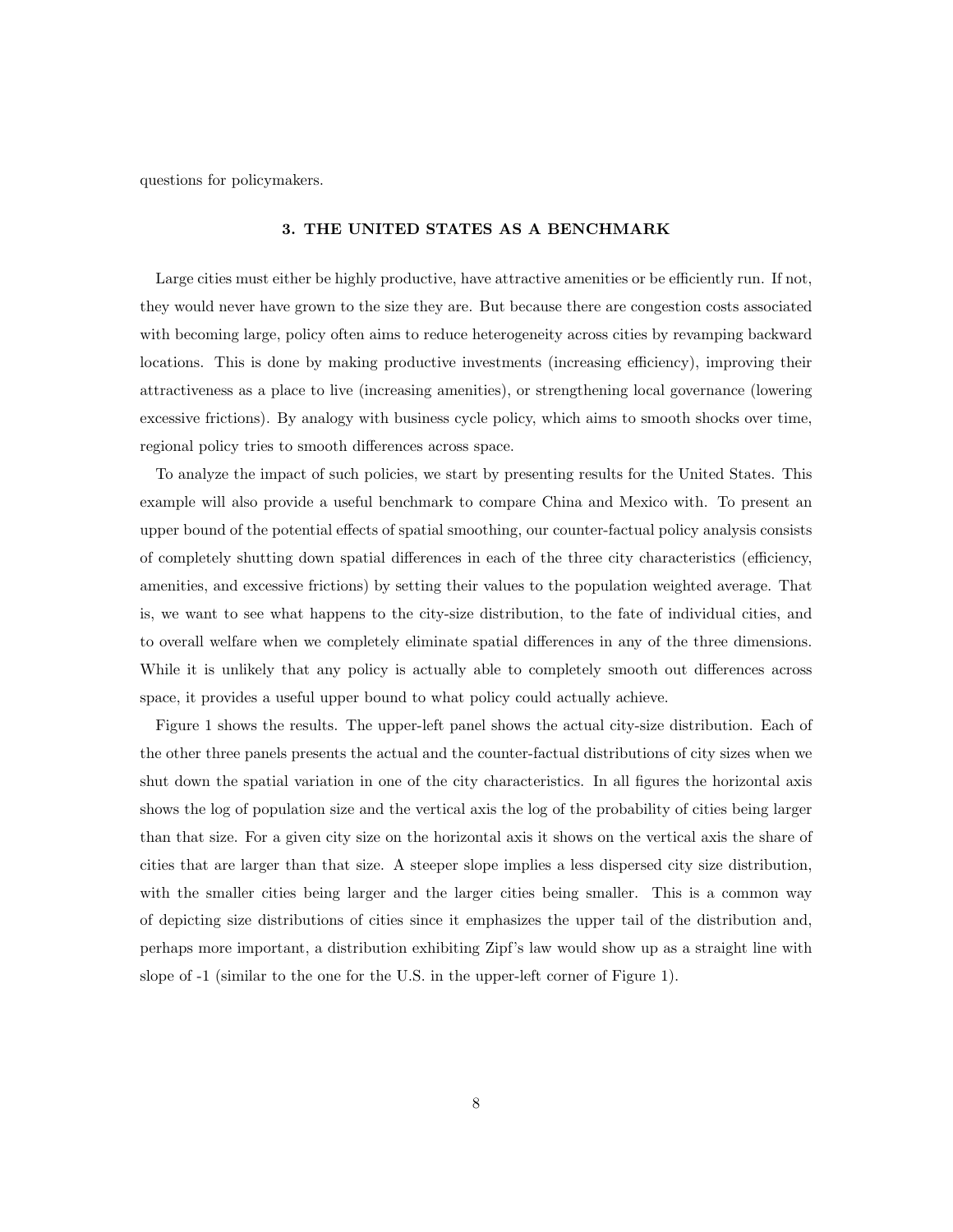questions for policymakers.

#### 3. THE UNITED STATES AS A BENCHMARK

Large cities must either be highly productive, have attractive amenities or be efficiently run. If not, they would never have grown to the size they are. But because there are congestion costs associated with becoming large, policy often aims to reduce heterogeneity across cities by revamping backward locations. This is done by making productive investments (increasing efficiency), improving their attractiveness as a place to live (increasing amenities), or strengthening local governance (lowering excessive frictions). By analogy with business cycle policy, which aims to smooth shocks over time, regional policy tries to smooth differences across space.

To analyze the impact of such policies, we start by presenting results for the United States. This example will also provide a useful benchmark to compare China and Mexico with. To present an upper bound of the potential effects of spatial smoothing, our counter-factual policy analysis consists of completely shutting down spatial differences in each of the three city characteristics (efficiency, amenities, and excessive frictions) by setting their values to the population weighted average. That is, we want to see what happens to the city-size distribution, to the fate of individual cities, and to overall welfare when we completely eliminate spatial differences in any of the three dimensions. While it is unlikely that any policy is actually able to completely smooth out differences across space, it provides a useful upper bound to what policy could actually achieve.

Figure 1 shows the results. The upper-left panel shows the actual city-size distribution. Each of the other three panels presents the actual and the counter-factual distributions of city sizes when we shut down the spatial variation in one of the city characteristics. In all figures the horizontal axis shows the log of population size and the vertical axis the log of the probability of cities being larger than that size. For a given city size on the horizontal axis it shows on the vertical axis the share of cities that are larger than that size. A steeper slope implies a less dispersed city size distribution, with the smaller cities being larger and the larger cities being smaller. This is a common way of depicting size distributions of cities since it emphasizes the upper tail of the distribution and, perhaps more important, a distribution exhibiting Zipf's law would show up as a straight line with slope of -1 (similar to the one for the U.S. in the upper-left corner of Figure 1).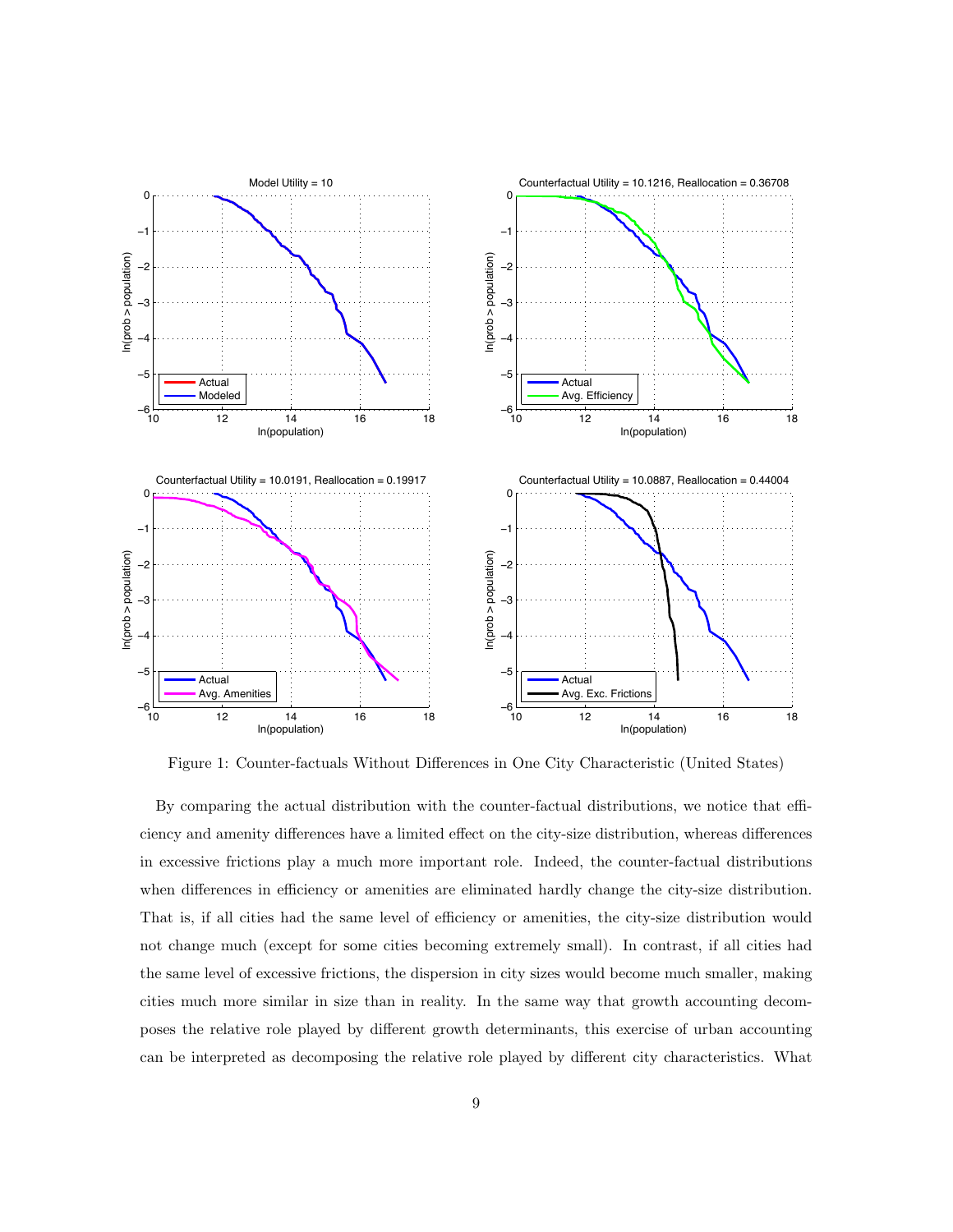

Figure 1: Counter-factuals Without Differences in One City Characteristic (United States)

By comparing the actual distribution with the counter-factual distributions, we notice that efficiency and amenity differences have a limited effect on the city-size distribution, whereas differences in excessive frictions play a much more important role. Indeed, the counter-factual distributions when differences in efficiency or amenities are eliminated hardly change the city-size distribution. That is, if all cities had the same level of efficiency or amenities, the city-size distribution would not change much (except for some cities becoming extremely small). In contrast, if all cities had the same level of excessive frictions, the dispersion in city sizes would become much smaller, making cities much more similar in size than in reality. In the same way that growth accounting decomposes the relative role played by different growth determinants, this exercise of urban accounting can be interpreted as decomposing the relative role played by different city characteristics. What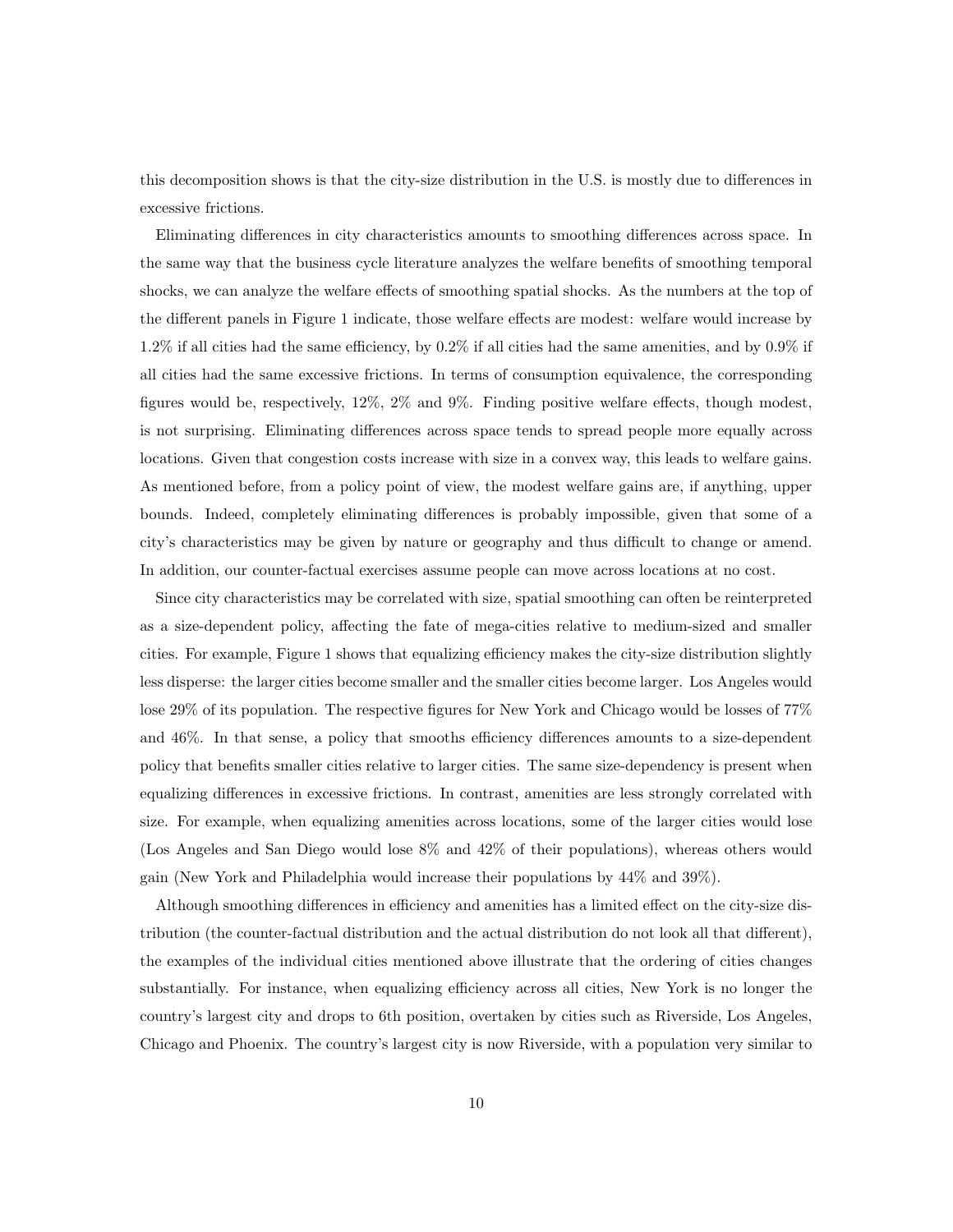this decomposition shows is that the city-size distribution in the U.S. is mostly due to differences in excessive frictions.

Eliminating differences in city characteristics amounts to smoothing differences across space. In the same way that the business cycle literature analyzes the welfare benefits of smoothing temporal shocks, we can analyze the welfare effects of smoothing spatial shocks. As the numbers at the top of the different panels in Figure 1 indicate, those welfare effects are modest: welfare would increase by 1.2% if all cities had the same efficiency, by 0.2% if all cities had the same amenities, and by 0.9% if all cities had the same excessive frictions. In terms of consumption equivalence, the corresponding figures would be, respectively, 12%, 2% and 9%. Finding positive welfare effects, though modest, is not surprising. Eliminating differences across space tends to spread people more equally across locations. Given that congestion costs increase with size in a convex way, this leads to welfare gains. As mentioned before, from a policy point of view, the modest welfare gains are, if anything, upper bounds. Indeed, completely eliminating differences is probably impossible, given that some of a city's characteristics may be given by nature or geography and thus difficult to change or amend. In addition, our counter-factual exercises assume people can move across locations at no cost.

Since city characteristics may be correlated with size, spatial smoothing can often be reinterpreted as a size-dependent policy, affecting the fate of mega-cities relative to medium-sized and smaller cities. For example, Figure 1 shows that equalizing efficiency makes the city-size distribution slightly less disperse: the larger cities become smaller and the smaller cities become larger. Los Angeles would lose 29% of its population. The respective figures for New York and Chicago would be losses of 77% and 46%. In that sense, a policy that smooths efficiency differences amounts to a size-dependent policy that benefits smaller cities relative to larger cities. The same size-dependency is present when equalizing differences in excessive frictions. In contrast, amenities are less strongly correlated with size. For example, when equalizing amenities across locations, some of the larger cities would lose (Los Angeles and San Diego would lose 8% and 42% of their populations), whereas others would gain (New York and Philadelphia would increase their populations by 44% and 39%).

Although smoothing differences in efficiency and amenities has a limited effect on the city-size distribution (the counter-factual distribution and the actual distribution do not look all that different), the examples of the individual cities mentioned above illustrate that the ordering of cities changes substantially. For instance, when equalizing efficiency across all cities, New York is no longer the country's largest city and drops to 6th position, overtaken by cities such as Riverside, Los Angeles, Chicago and Phoenix. The country's largest city is now Riverside, with a population very similar to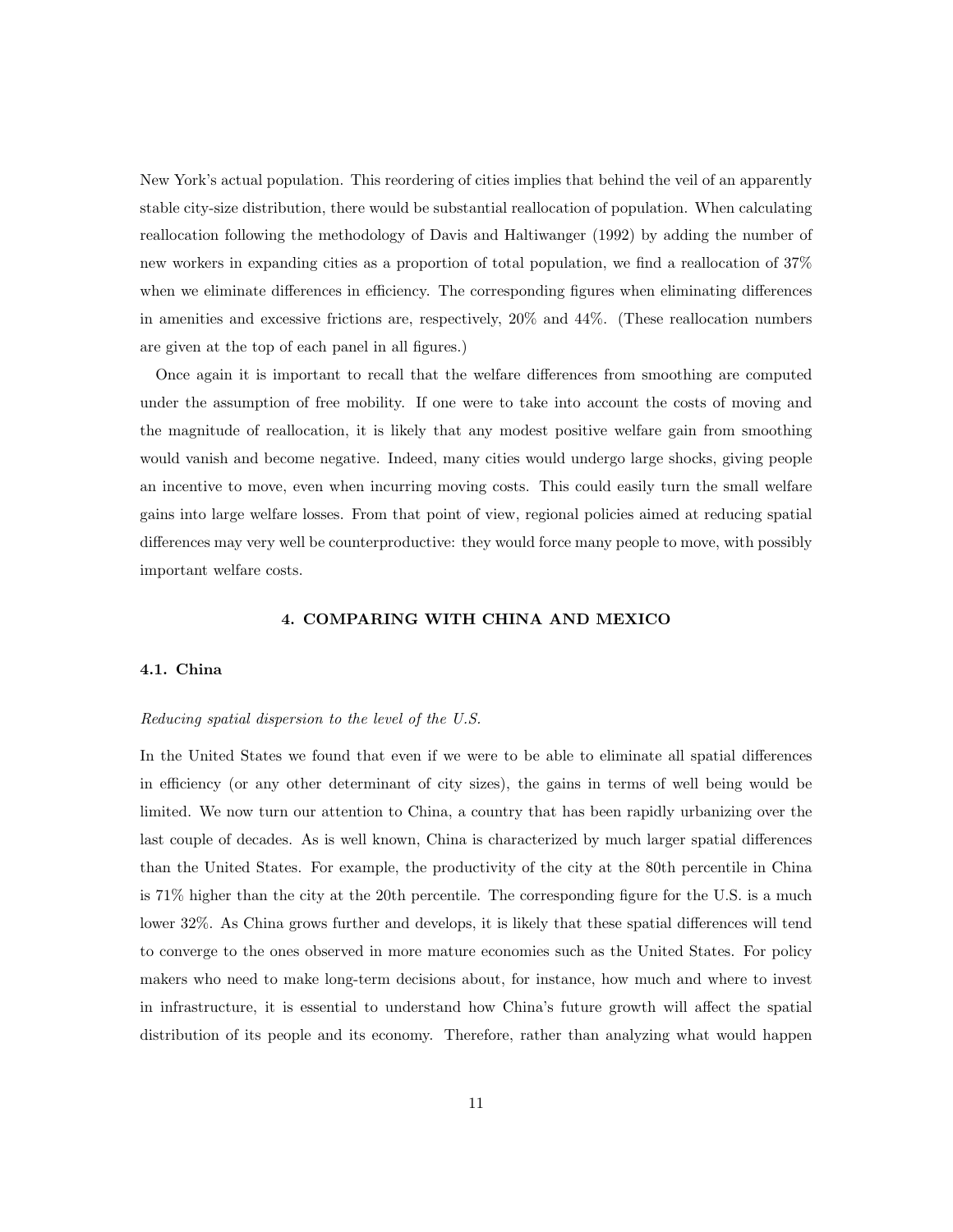New York's actual population. This reordering of cities implies that behind the veil of an apparently stable city-size distribution, there would be substantial reallocation of population. When calculating reallocation following the methodology of Davis and Haltiwanger (1992) by adding the number of new workers in expanding cities as a proportion of total population, we find a reallocation of 37% when we eliminate differences in efficiency. The corresponding figures when eliminating differences in amenities and excessive frictions are, respectively, 20% and 44%. (These reallocation numbers are given at the top of each panel in all figures.)

Once again it is important to recall that the welfare differences from smoothing are computed under the assumption of free mobility. If one were to take into account the costs of moving and the magnitude of reallocation, it is likely that any modest positive welfare gain from smoothing would vanish and become negative. Indeed, many cities would undergo large shocks, giving people an incentive to move, even when incurring moving costs. This could easily turn the small welfare gains into large welfare losses. From that point of view, regional policies aimed at reducing spatial differences may very well be counterproductive: they would force many people to move, with possibly important welfare costs.

#### 4. COMPARING WITH CHINA AND MEXICO

#### 4.1. China

#### Reducing spatial dispersion to the level of the U.S.

In the United States we found that even if we were to be able to eliminate all spatial differences in efficiency (or any other determinant of city sizes), the gains in terms of well being would be limited. We now turn our attention to China, a country that has been rapidly urbanizing over the last couple of decades. As is well known, China is characterized by much larger spatial differences than the United States. For example, the productivity of the city at the 80th percentile in China is 71% higher than the city at the 20th percentile. The corresponding figure for the U.S. is a much lower 32%. As China grows further and develops, it is likely that these spatial differences will tend to converge to the ones observed in more mature economies such as the United States. For policy makers who need to make long-term decisions about, for instance, how much and where to invest in infrastructure, it is essential to understand how China's future growth will affect the spatial distribution of its people and its economy. Therefore, rather than analyzing what would happen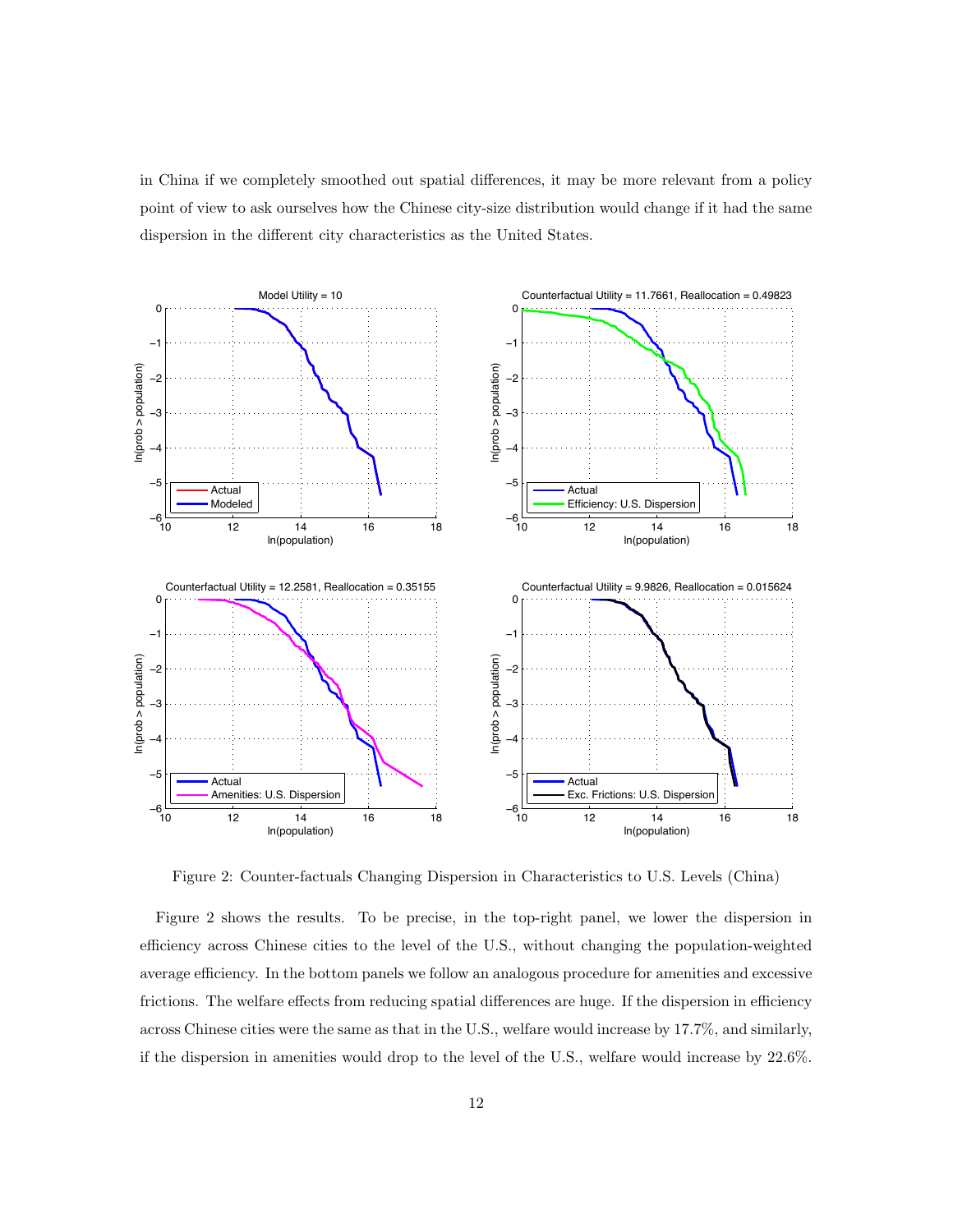in China if we completely smoothed out spatial differences, it may be more relevant from a policy point of view to ask ourselves how the Chinese city-size distribution would change if it had the same dispersion in the different city characteristics as the United States.



Figure 2: Counter-factuals Changing Dispersion in Characteristics to U.S. Levels (China)

Figure 2 shows the results. To be precise, in the top-right panel, we lower the dispersion in efficiency across Chinese cities to the level of the U.S., without changing the population-weighted average efficiency. In the bottom panels we follow an analogous procedure for amenities and excessive frictions. The welfare effects from reducing spatial differences are huge. If the dispersion in efficiency across Chinese cities were the same as that in the U.S., welfare would increase by 17.7%, and similarly, if the dispersion in amenities would drop to the level of the U.S., welfare would increase by 22.6%.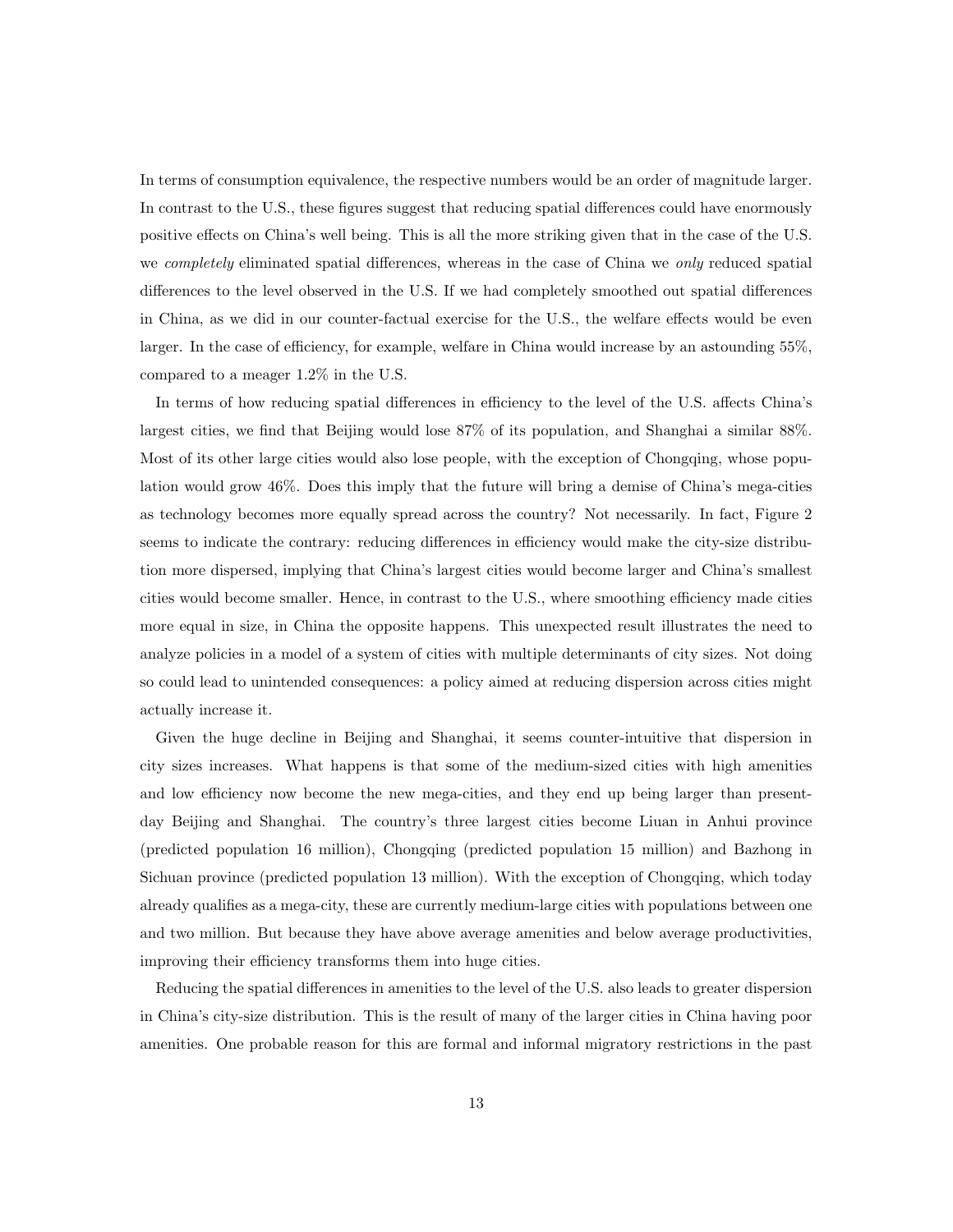In terms of consumption equivalence, the respective numbers would be an order of magnitude larger. In contrast to the U.S., these figures suggest that reducing spatial differences could have enormously positive effects on China's well being. This is all the more striking given that in the case of the U.S. we *completely* eliminated spatial differences, whereas in the case of China we *only* reduced spatial differences to the level observed in the U.S. If we had completely smoothed out spatial differences in China, as we did in our counter-factual exercise for the U.S., the welfare effects would be even larger. In the case of efficiency, for example, welfare in China would increase by an astounding 55%, compared to a meager 1.2% in the U.S.

In terms of how reducing spatial differences in efficiency to the level of the U.S. affects China's largest cities, we find that Beijing would lose 87% of its population, and Shanghai a similar 88%. Most of its other large cities would also lose people, with the exception of Chongqing, whose population would grow 46%. Does this imply that the future will bring a demise of China's mega-cities as technology becomes more equally spread across the country? Not necessarily. In fact, Figure 2 seems to indicate the contrary: reducing differences in efficiency would make the city-size distribution more dispersed, implying that China's largest cities would become larger and China's smallest cities would become smaller. Hence, in contrast to the U.S., where smoothing efficiency made cities more equal in size, in China the opposite happens. This unexpected result illustrates the need to analyze policies in a model of a system of cities with multiple determinants of city sizes. Not doing so could lead to unintended consequences: a policy aimed at reducing dispersion across cities might actually increase it.

Given the huge decline in Beijing and Shanghai, it seems counter-intuitive that dispersion in city sizes increases. What happens is that some of the medium-sized cities with high amenities and low efficiency now become the new mega-cities, and they end up being larger than presentday Beijing and Shanghai. The country's three largest cities become Liuan in Anhui province (predicted population 16 million), Chongqing (predicted population 15 million) and Bazhong in Sichuan province (predicted population 13 million). With the exception of Chongqing, which today already qualifies as a mega-city, these are currently medium-large cities with populations between one and two million. But because they have above average amenities and below average productivities, improving their efficiency transforms them into huge cities.

Reducing the spatial differences in amenities to the level of the U.S. also leads to greater dispersion in China's city-size distribution. This is the result of many of the larger cities in China having poor amenities. One probable reason for this are formal and informal migratory restrictions in the past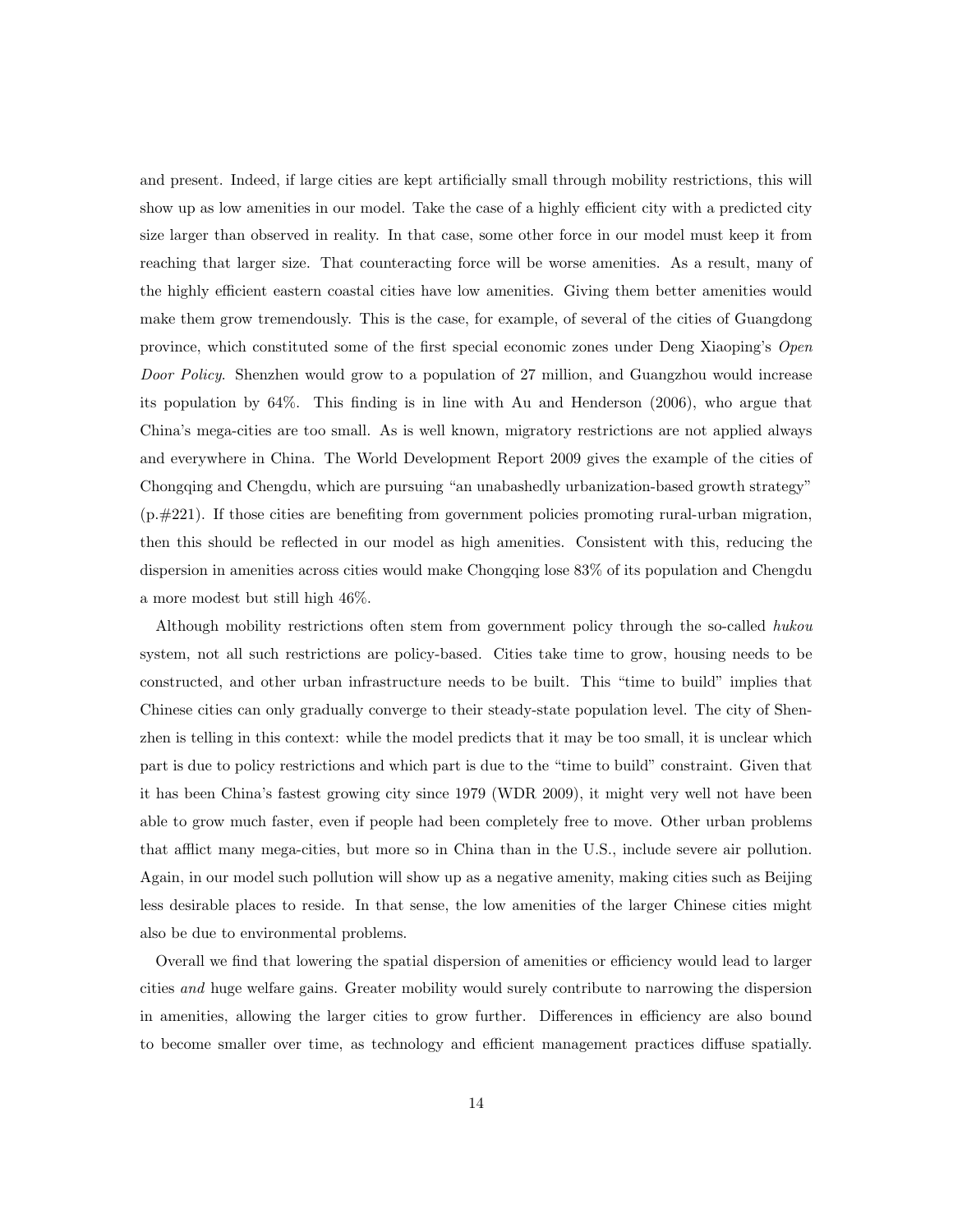and present. Indeed, if large cities are kept artificially small through mobility restrictions, this will show up as low amenities in our model. Take the case of a highly efficient city with a predicted city size larger than observed in reality. In that case, some other force in our model must keep it from reaching that larger size. That counteracting force will be worse amenities. As a result, many of the highly efficient eastern coastal cities have low amenities. Giving them better amenities would make them grow tremendously. This is the case, for example, of several of the cities of Guangdong province, which constituted some of the first special economic zones under Deng Xiaoping's Open Door Policy. Shenzhen would grow to a population of 27 million, and Guangzhou would increase its population by 64%. This finding is in line with Au and Henderson (2006), who argue that China's mega-cities are too small. As is well known, migratory restrictions are not applied always and everywhere in China. The World Development Report 2009 gives the example of the cities of Chongqing and Chengdu, which are pursuing "an unabashedly urbanization-based growth strategy" (p.#221). If those cities are benefiting from government policies promoting rural-urban migration, then this should be reflected in our model as high amenities. Consistent with this, reducing the dispersion in amenities across cities would make Chongqing lose 83% of its population and Chengdu a more modest but still high 46%.

Although mobility restrictions often stem from government policy through the so-called hukou system, not all such restrictions are policy-based. Cities take time to grow, housing needs to be constructed, and other urban infrastructure needs to be built. This "time to build" implies that Chinese cities can only gradually converge to their steady-state population level. The city of Shenzhen is telling in this context: while the model predicts that it may be too small, it is unclear which part is due to policy restrictions and which part is due to the "time to build" constraint. Given that it has been China's fastest growing city since 1979 (WDR 2009), it might very well not have been able to grow much faster, even if people had been completely free to move. Other urban problems that afflict many mega-cities, but more so in China than in the U.S., include severe air pollution. Again, in our model such pollution will show up as a negative amenity, making cities such as Beijing less desirable places to reside. In that sense, the low amenities of the larger Chinese cities might also be due to environmental problems.

Overall we find that lowering the spatial dispersion of amenities or efficiency would lead to larger cities and huge welfare gains. Greater mobility would surely contribute to narrowing the dispersion in amenities, allowing the larger cities to grow further. Differences in efficiency are also bound to become smaller over time, as technology and efficient management practices diffuse spatially.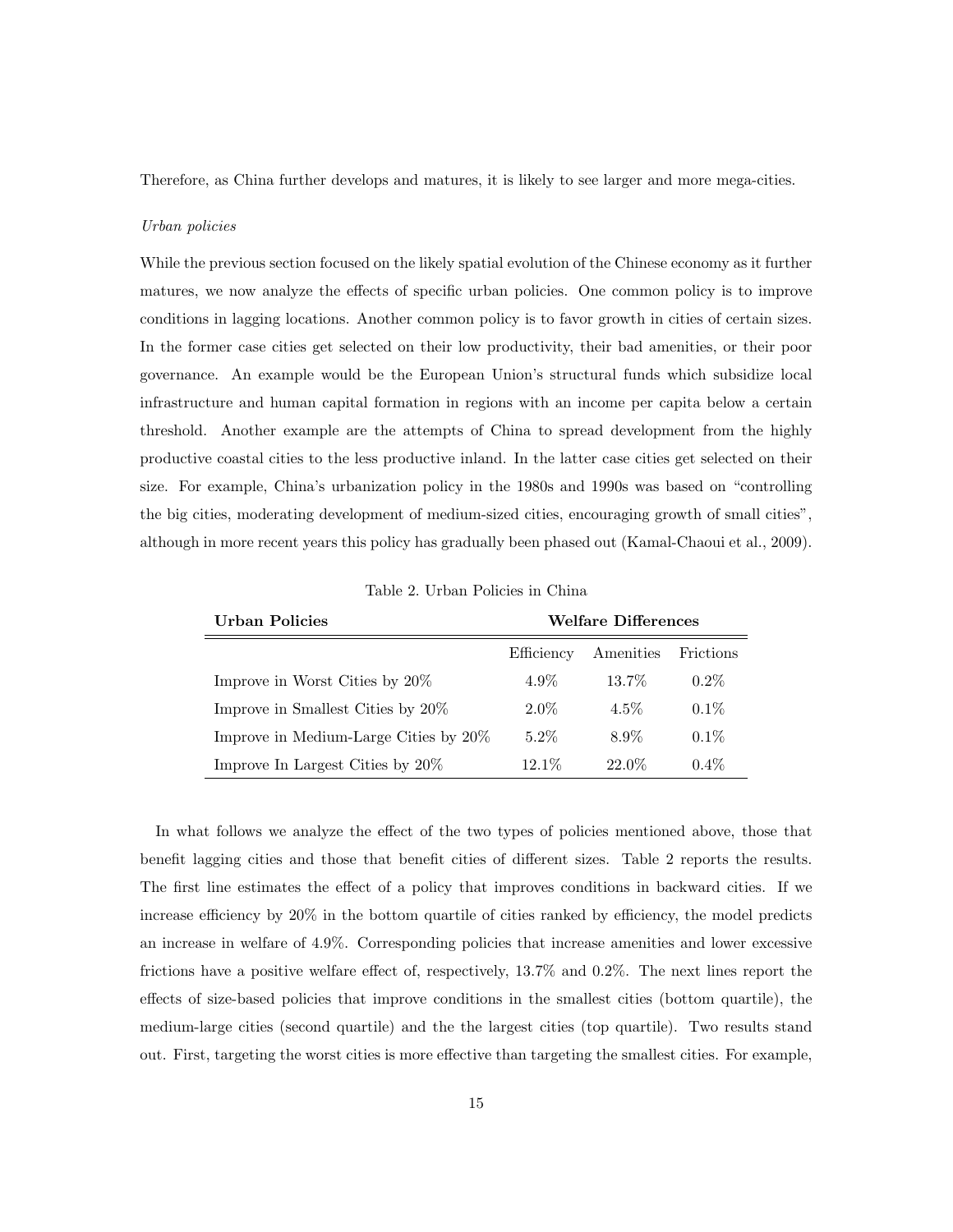Therefore, as China further develops and matures, it is likely to see larger and more mega-cities.

#### Urban policies

While the previous section focused on the likely spatial evolution of the Chinese economy as it further matures, we now analyze the effects of specific urban policies. One common policy is to improve conditions in lagging locations. Another common policy is to favor growth in cities of certain sizes. In the former case cities get selected on their low productivity, their bad amenities, or their poor governance. An example would be the European Union's structural funds which subsidize local infrastructure and human capital formation in regions with an income per capita below a certain threshold. Another example are the attempts of China to spread development from the highly productive coastal cities to the less productive inland. In the latter case cities get selected on their size. For example, China's urbanization policy in the 1980s and 1990s was based on "controlling the big cities, moderating development of medium-sized cities, encouraging growth of small cities", although in more recent years this policy has gradually been phased out (Kamal-Chaoui et al., 2009).

| Urban Policies                        | <b>Welfare Differences</b> |           |           |
|---------------------------------------|----------------------------|-----------|-----------|
|                                       | Efficiency                 | Amenities | Frictions |
| Improve in Worst Cities by $20\%$     | $4.9\%$                    | 13.7%     | $0.2\%$   |
| Improve in Smallest Cities by 20%     | $2.0\%$                    | $4.5\%$   | $0.1\%$   |
| Improve in Medium-Large Cities by 20% | $5.2\%$                    | 8.9%      | $0.1\%$   |
| Improve In Largest Cities by $20\%$   | 12.1%                      | 22.0%     | $0.4\%$   |

Table 2. Urban Policies in China

In what follows we analyze the effect of the two types of policies mentioned above, those that benefit lagging cities and those that benefit cities of different sizes. Table 2 reports the results. The first line estimates the effect of a policy that improves conditions in backward cities. If we increase efficiency by 20% in the bottom quartile of cities ranked by efficiency, the model predicts an increase in welfare of 4.9%. Corresponding policies that increase amenities and lower excessive frictions have a positive welfare effect of, respectively, 13.7% and 0.2%. The next lines report the effects of size-based policies that improve conditions in the smallest cities (bottom quartile), the medium-large cities (second quartile) and the the largest cities (top quartile). Two results stand out. First, targeting the worst cities is more effective than targeting the smallest cities. For example,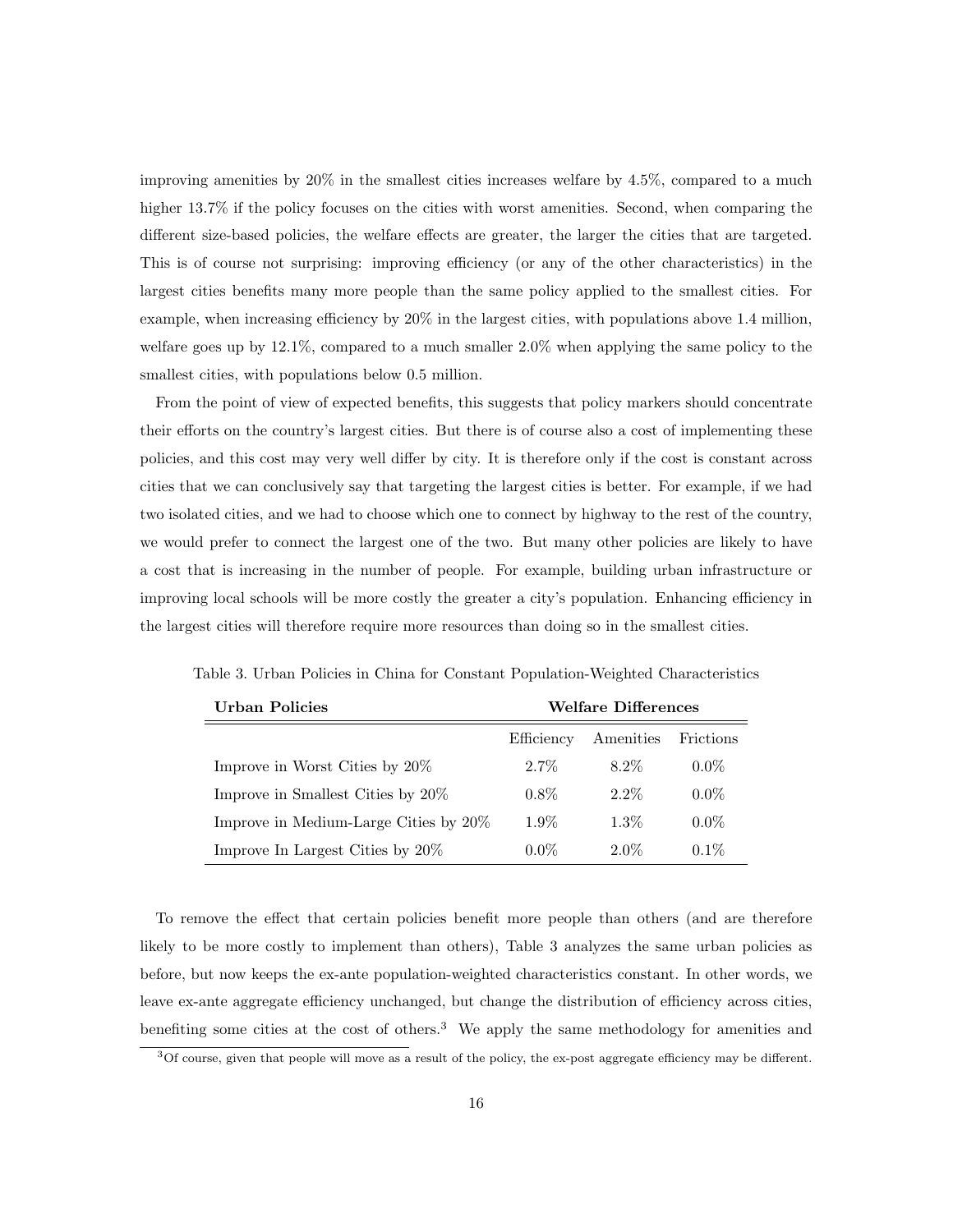improving amenities by 20% in the smallest cities increases welfare by 4.5%, compared to a much higher 13.7% if the policy focuses on the cities with worst amenities. Second, when comparing the different size-based policies, the welfare effects are greater, the larger the cities that are targeted. This is of course not surprising: improving efficiency (or any of the other characteristics) in the largest cities benefits many more people than the same policy applied to the smallest cities. For example, when increasing efficiency by 20% in the largest cities, with populations above 1.4 million, welfare goes up by 12.1%, compared to a much smaller 2.0% when applying the same policy to the smallest cities, with populations below 0.5 million.

From the point of view of expected benefits, this suggests that policy markers should concentrate their efforts on the country's largest cities. But there is of course also a cost of implementing these policies, and this cost may very well differ by city. It is therefore only if the cost is constant across cities that we can conclusively say that targeting the largest cities is better. For example, if we had two isolated cities, and we had to choose which one to connect by highway to the rest of the country, we would prefer to connect the largest one of the two. But many other policies are likely to have a cost that is increasing in the number of people. For example, building urban infrastructure or improving local schools will be more costly the greater a city's population. Enhancing efficiency in the largest cities will therefore require more resources than doing so in the smallest cities.

| Urban Policies                        | <b>Welfare Differences</b> |           |           |
|---------------------------------------|----------------------------|-----------|-----------|
|                                       | Efficiency                 | Amenities | Frictions |
| Improve in Worst Cities by 20%        | $2.7\%$                    | $8.2\%$   | $0.0\%$   |
| Improve in Smallest Cities by 20%     | $0.8\%$                    | $2.2\%$   | $0.0\%$   |
| Improve in Medium-Large Cities by 20% | $1.9\%$                    | $1.3\%$   | $0.0\%$   |
| Improve In Largest Cities by $20\%$   | $0.0\%$                    | $2.0\%$   | $0.1\%$   |

Table 3. Urban Policies in China for Constant Population-Weighted Characteristics

To remove the effect that certain policies benefit more people than others (and are therefore likely to be more costly to implement than others), Table 3 analyzes the same urban policies as before, but now keeps the ex-ante population-weighted characteristics constant. In other words, we leave ex-ante aggregate efficiency unchanged, but change the distribution of efficiency across cities, benefiting some cities at the cost of others.<sup>3</sup> We apply the same methodology for amenities and

<sup>3</sup>Of course, given that people will move as a result of the policy, the ex-post aggregate efficiency may be different.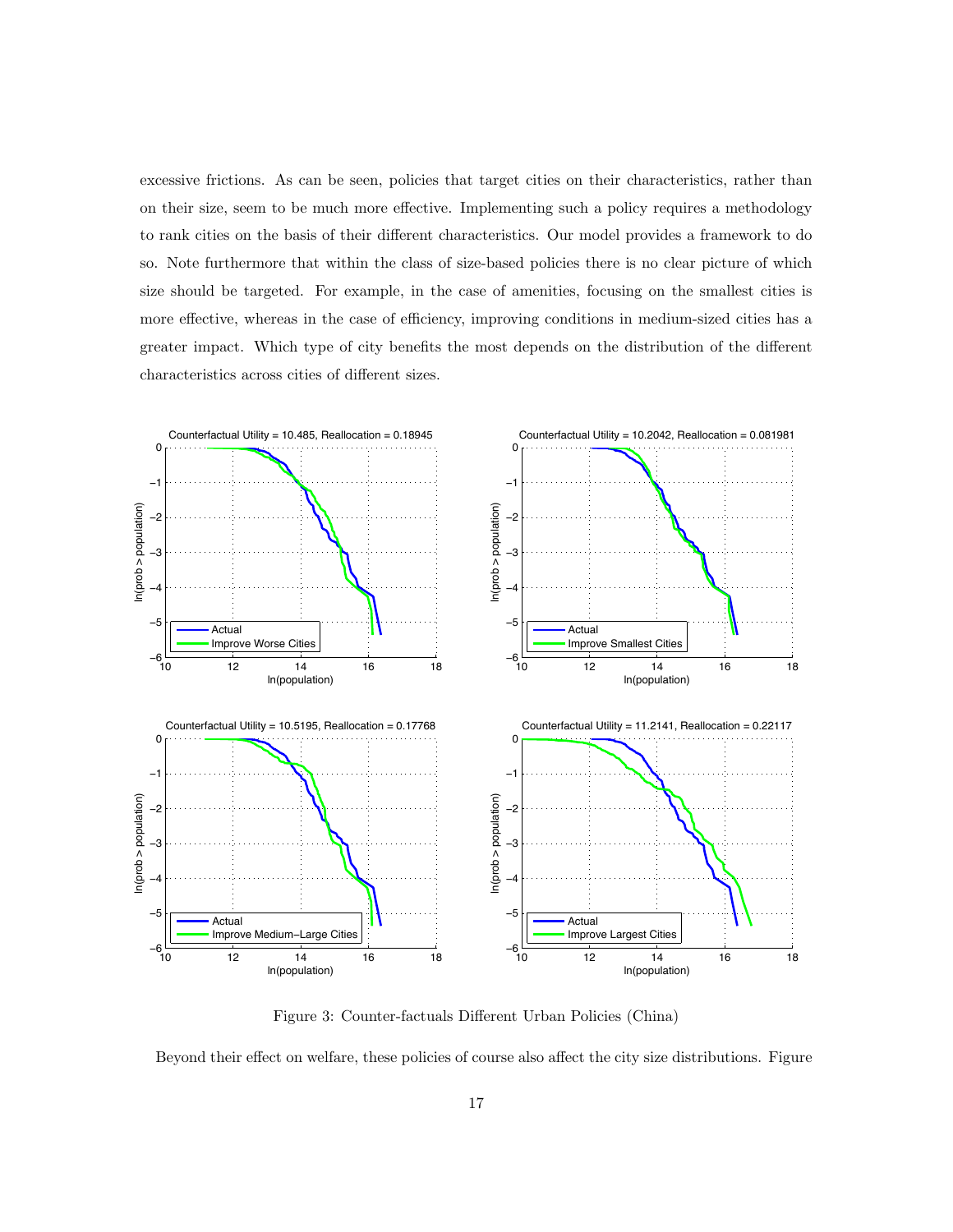excessive frictions. As can be seen, policies that target cities on their characteristics, rather than on their size, seem to be much more effective. Implementing such a policy requires a methodology to rank cities on the basis of their different characteristics. Our model provides a framework to do so. Note furthermore that within the class of size-based policies there is no clear picture of which size should be targeted. For example, in the case of amenities, focusing on the smallest cities is more effective, whereas in the case of efficiency, improving conditions in medium-sized cities has a greater impact. Which type of city benefits the most depends on the distribution of the different characteristics across cities of different sizes.



Figure 3: Counter-factuals Different Urban Policies (China)

Beyond their effect on welfare, these policies of course also affect the city size distributions. Figure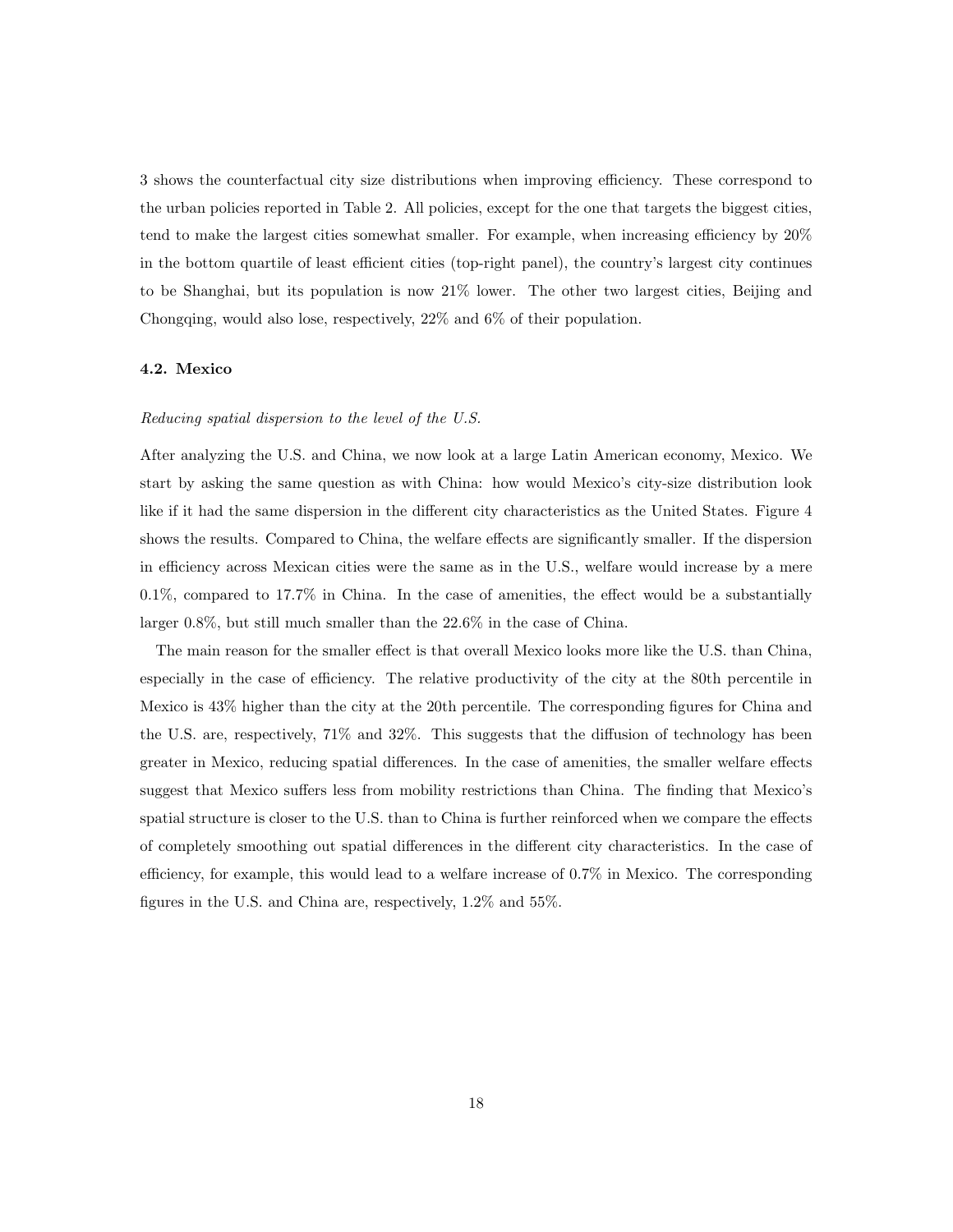3 shows the counterfactual city size distributions when improving efficiency. These correspond to the urban policies reported in Table 2. All policies, except for the one that targets the biggest cities, tend to make the largest cities somewhat smaller. For example, when increasing efficiency by 20% in the bottom quartile of least efficient cities (top-right panel), the country's largest city continues to be Shanghai, but its population is now 21% lower. The other two largest cities, Beijing and Chongqing, would also lose, respectively, 22% and 6% of their population.

#### 4.2. Mexico

#### Reducing spatial dispersion to the level of the U.S.

After analyzing the U.S. and China, we now look at a large Latin American economy, Mexico. We start by asking the same question as with China: how would Mexico's city-size distribution look like if it had the same dispersion in the different city characteristics as the United States. Figure 4 shows the results. Compared to China, the welfare effects are significantly smaller. If the dispersion in efficiency across Mexican cities were the same as in the U.S., welfare would increase by a mere 0.1%, compared to 17.7% in China. In the case of amenities, the effect would be a substantially larger 0.8%, but still much smaller than the 22.6% in the case of China.

The main reason for the smaller effect is that overall Mexico looks more like the U.S. than China, especially in the case of efficiency. The relative productivity of the city at the 80th percentile in Mexico is 43% higher than the city at the 20th percentile. The corresponding figures for China and the U.S. are, respectively, 71% and 32%. This suggests that the diffusion of technology has been greater in Mexico, reducing spatial differences. In the case of amenities, the smaller welfare effects suggest that Mexico suffers less from mobility restrictions than China. The finding that Mexico's spatial structure is closer to the U.S. than to China is further reinforced when we compare the effects of completely smoothing out spatial differences in the different city characteristics. In the case of efficiency, for example, this would lead to a welfare increase of 0.7% in Mexico. The corresponding figures in the U.S. and China are, respectively, 1.2% and 55%.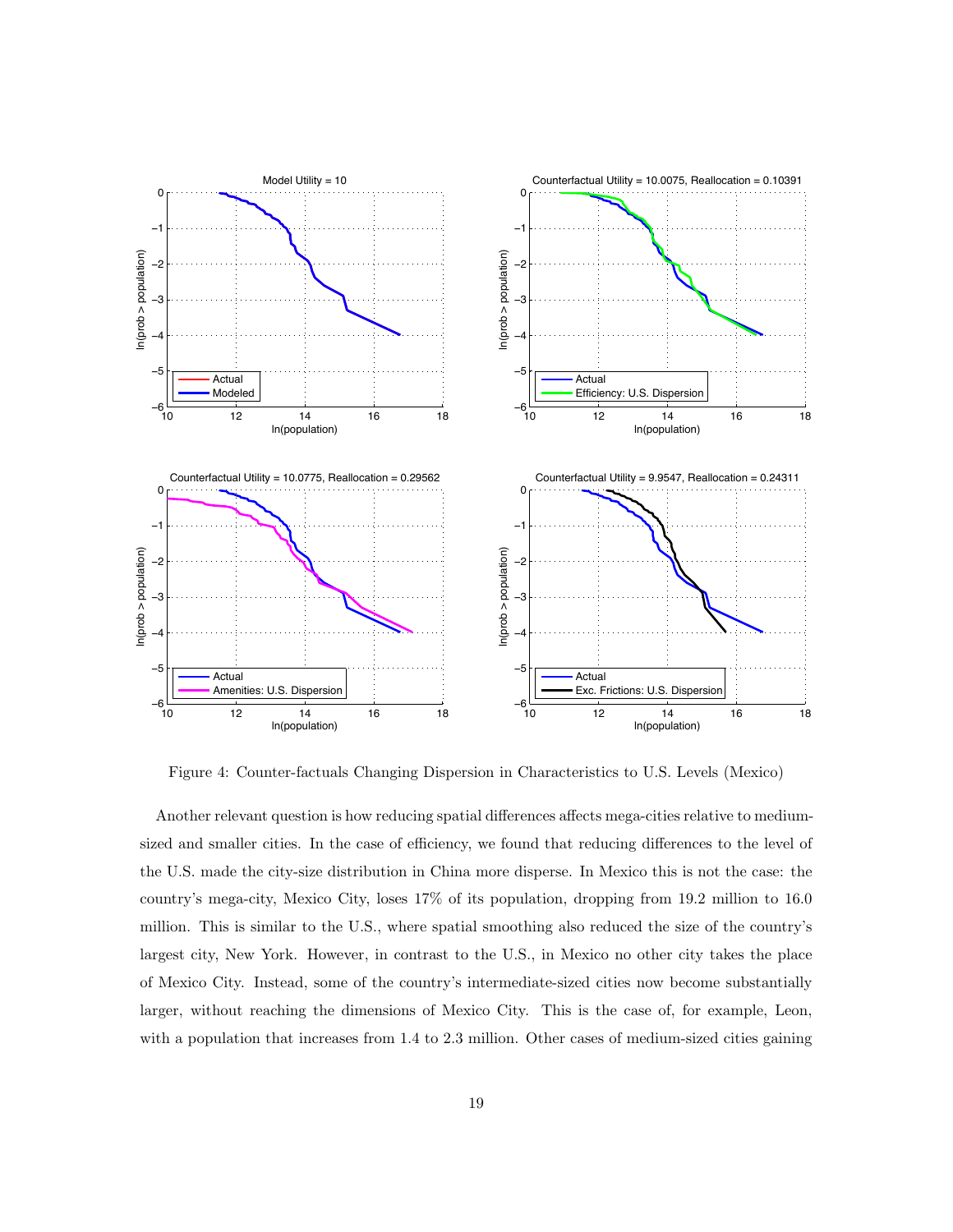

Figure 4: Counter-factuals Changing Dispersion in Characteristics to U.S. Levels (Mexico)

Another relevant question is how reducing spatial differences affects mega-cities relative to mediumsized and smaller cities. In the case of efficiency, we found that reducing differences to the level of the U.S. made the city-size distribution in China more disperse. In Mexico this is not the case: the country's mega-city, Mexico City, loses 17% of its population, dropping from 19.2 million to 16.0 million. This is similar to the U.S., where spatial smoothing also reduced the size of the country's largest city, New York. However, in contrast to the U.S., in Mexico no other city takes the place of Mexico City. Instead, some of the country's intermediate-sized cities now become substantially larger, without reaching the dimensions of Mexico City. This is the case of, for example, Leon, with a population that increases from 1.4 to 2.3 million. Other cases of medium-sized cities gaining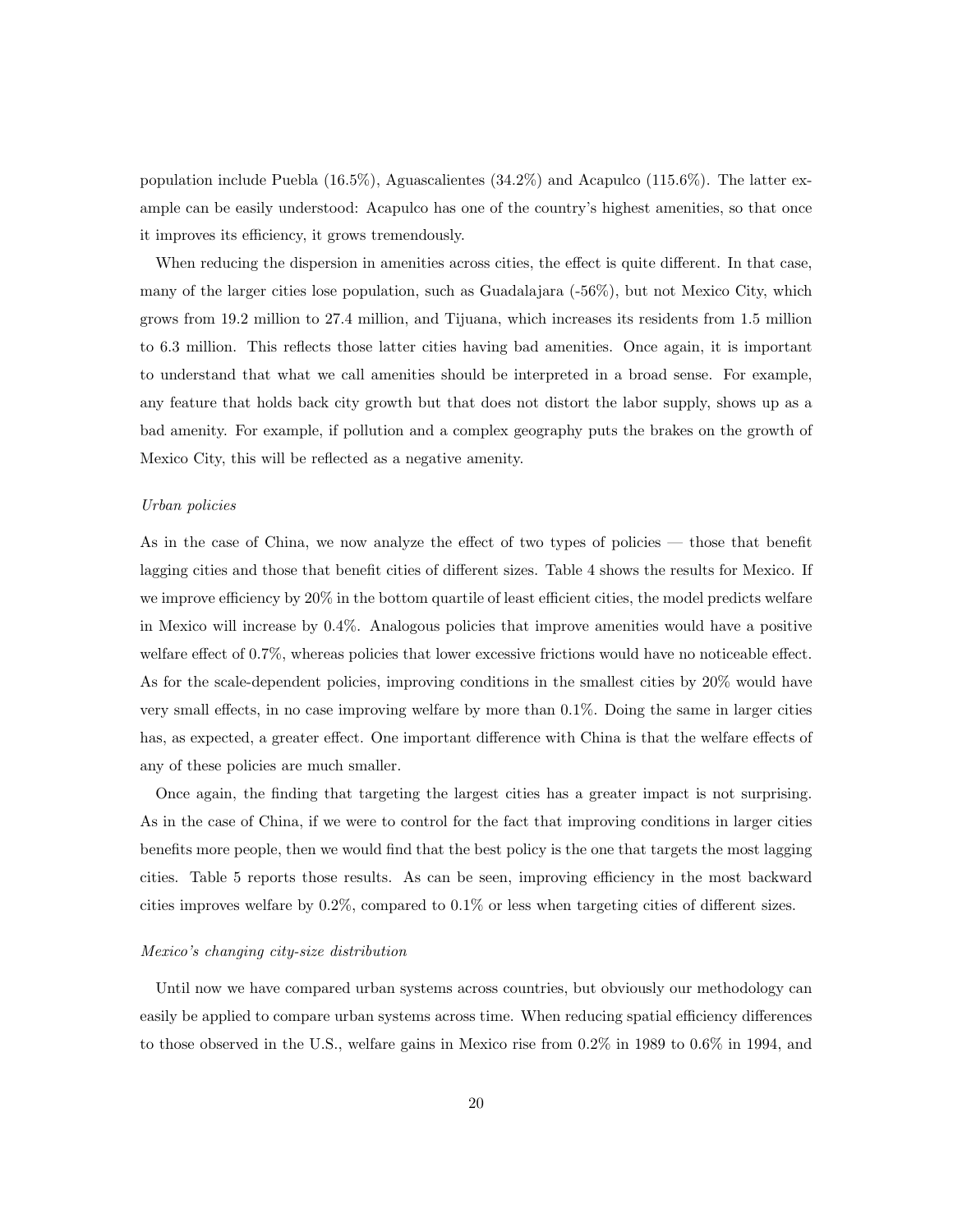population include Puebla (16.5%), Aguascalientes (34.2%) and Acapulco (115.6%). The latter example can be easily understood: Acapulco has one of the country's highest amenities, so that once it improves its efficiency, it grows tremendously.

When reducing the dispersion in amenities across cities, the effect is quite different. In that case, many of the larger cities lose population, such as Guadalajara (-56%), but not Mexico City, which grows from 19.2 million to 27.4 million, and Tijuana, which increases its residents from 1.5 million to 6.3 million. This reflects those latter cities having bad amenities. Once again, it is important to understand that what we call amenities should be interpreted in a broad sense. For example, any feature that holds back city growth but that does not distort the labor supply, shows up as a bad amenity. For example, if pollution and a complex geography puts the brakes on the growth of Mexico City, this will be reflected as a negative amenity.

#### Urban policies

As in the case of China, we now analyze the effect of two types of policies — those that benefit lagging cities and those that benefit cities of different sizes. Table 4 shows the results for Mexico. If we improve efficiency by 20% in the bottom quartile of least efficient cities, the model predicts welfare in Mexico will increase by 0.4%. Analogous policies that improve amenities would have a positive welfare effect of 0.7%, whereas policies that lower excessive frictions would have no noticeable effect. As for the scale-dependent policies, improving conditions in the smallest cities by 20% would have very small effects, in no case improving welfare by more than 0.1%. Doing the same in larger cities has, as expected, a greater effect. One important difference with China is that the welfare effects of any of these policies are much smaller.

Once again, the finding that targeting the largest cities has a greater impact is not surprising. As in the case of China, if we were to control for the fact that improving conditions in larger cities benefits more people, then we would find that the best policy is the one that targets the most lagging cities. Table 5 reports those results. As can be seen, improving efficiency in the most backward cities improves welfare by 0.2%, compared to 0.1% or less when targeting cities of different sizes.

#### Mexico's changing city-size distribution

Until now we have compared urban systems across countries, but obviously our methodology can easily be applied to compare urban systems across time. When reducing spatial efficiency differences to those observed in the U.S., welfare gains in Mexico rise from 0.2% in 1989 to 0.6% in 1994, and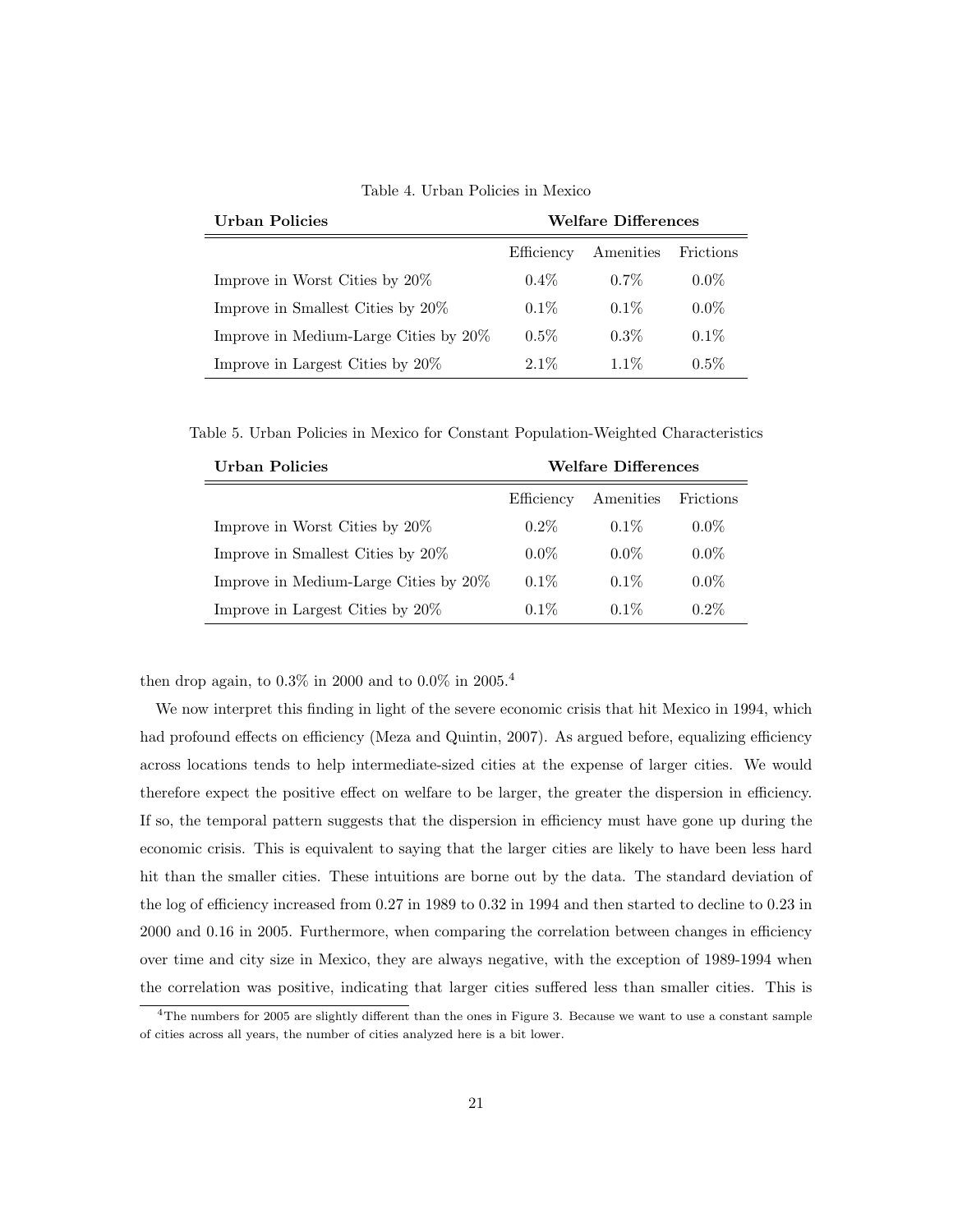Table 4. Urban Policies in Mexico

| Urban Policies                        | <b>Welfare Differences</b> |           |           |
|---------------------------------------|----------------------------|-----------|-----------|
|                                       | Efficiency                 | Amenities | Frictions |
| Improve in Worst Cities by $20\%$     | $0.4\%$                    | $0.7\%$   | $0.0\%$   |
| Improve in Smallest Cities by 20%     | $0.1\%$                    | $0.1\%$   | $0.0\%$   |
| Improve in Medium-Large Cities by 20% | $0.5\%$                    | $0.3\%$   | $0.1\%$   |
| Improve in Largest Cities by 20%      | $2.1\%$                    | $1.1\%$   | $0.5\%$   |

Table 5. Urban Policies in Mexico for Constant Population-Weighted Characteristics

| Urban Policies                        | <b>Welfare Differences</b> |           |           |
|---------------------------------------|----------------------------|-----------|-----------|
|                                       | Efficiency                 | Amenities | Frictions |
| Improve in Worst Cities by $20\%$     | $0.2\%$                    | $0.1\%$   | $0.0\%$   |
| Improve in Smallest Cities by 20%     | $0.0\%$                    | $0.0\%$   | $0.0\%$   |
| Improve in Medium-Large Cities by 20% | $0.1\%$                    | $0.1\%$   | $0.0\%$   |
| Improve in Largest Cities by 20%      | $0.1\%$                    | $0.1\%$   | $0.2\%$   |

then drop again, to  $0.3\%$  in 2000 and to  $0.0\%$  in 2005.<sup>4</sup>

We now interpret this finding in light of the severe economic crisis that hit Mexico in 1994, which had profound effects on efficiency (Meza and Quintin, 2007). As argued before, equalizing efficiency across locations tends to help intermediate-sized cities at the expense of larger cities. We would therefore expect the positive effect on welfare to be larger, the greater the dispersion in efficiency. If so, the temporal pattern suggests that the dispersion in efficiency must have gone up during the economic crisis. This is equivalent to saying that the larger cities are likely to have been less hard hit than the smaller cities. These intuitions are borne out by the data. The standard deviation of the log of efficiency increased from 0.27 in 1989 to 0.32 in 1994 and then started to decline to 0.23 in 2000 and 0.16 in 2005. Furthermore, when comparing the correlation between changes in efficiency over time and city size in Mexico, they are always negative, with the exception of 1989-1994 when the correlation was positive, indicating that larger cities suffered less than smaller cities. This is

<sup>4</sup>The numbers for 2005 are slightly different than the ones in Figure 3. Because we want to use a constant sample of cities across all years, the number of cities analyzed here is a bit lower.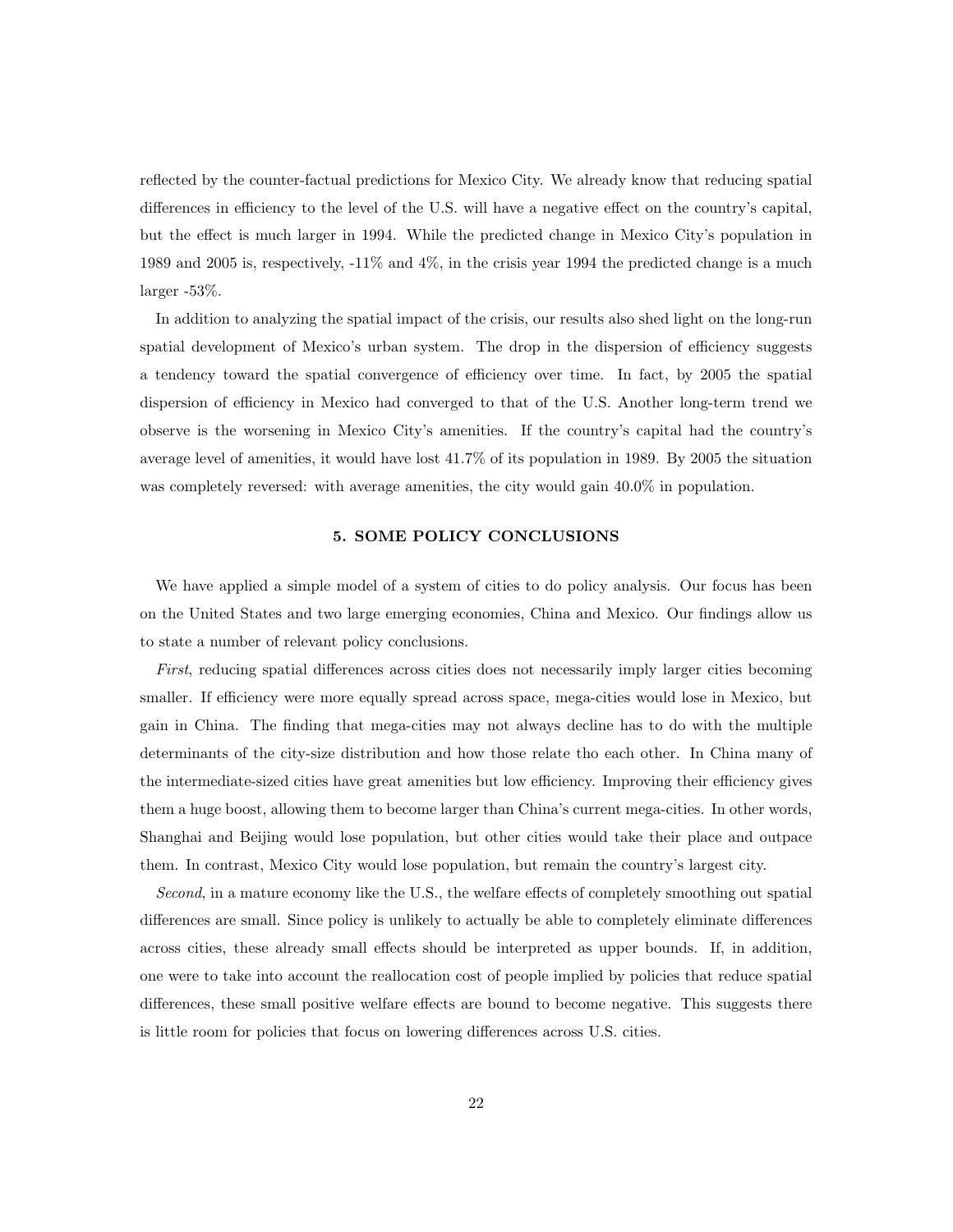reflected by the counter-factual predictions for Mexico City. We already know that reducing spatial differences in efficiency to the level of the U.S. will have a negative effect on the country's capital, but the effect is much larger in 1994. While the predicted change in Mexico City's population in 1989 and 2005 is, respectively, -11% and 4%, in the crisis year 1994 the predicted change is a much larger -53%.

In addition to analyzing the spatial impact of the crisis, our results also shed light on the long-run spatial development of Mexico's urban system. The drop in the dispersion of efficiency suggests a tendency toward the spatial convergence of efficiency over time. In fact, by 2005 the spatial dispersion of efficiency in Mexico had converged to that of the U.S. Another long-term trend we observe is the worsening in Mexico City's amenities. If the country's capital had the country's average level of amenities, it would have lost 41.7% of its population in 1989. By 2005 the situation was completely reversed: with average amenities, the city would gain  $40.0\%$  in population.

#### 5. SOME POLICY CONCLUSIONS

We have applied a simple model of a system of cities to do policy analysis. Our focus has been on the United States and two large emerging economies, China and Mexico. Our findings allow us to state a number of relevant policy conclusions.

First, reducing spatial differences across cities does not necessarily imply larger cities becoming smaller. If efficiency were more equally spread across space, mega-cities would lose in Mexico, but gain in China. The finding that mega-cities may not always decline has to do with the multiple determinants of the city-size distribution and how those relate tho each other. In China many of the intermediate-sized cities have great amenities but low efficiency. Improving their efficiency gives them a huge boost, allowing them to become larger than China's current mega-cities. In other words, Shanghai and Beijing would lose population, but other cities would take their place and outpace them. In contrast, Mexico City would lose population, but remain the country's largest city.

Second, in a mature economy like the U.S., the welfare effects of completely smoothing out spatial differences are small. Since policy is unlikely to actually be able to completely eliminate differences across cities, these already small effects should be interpreted as upper bounds. If, in addition, one were to take into account the reallocation cost of people implied by policies that reduce spatial differences, these small positive welfare effects are bound to become negative. This suggests there is little room for policies that focus on lowering differences across U.S. cities.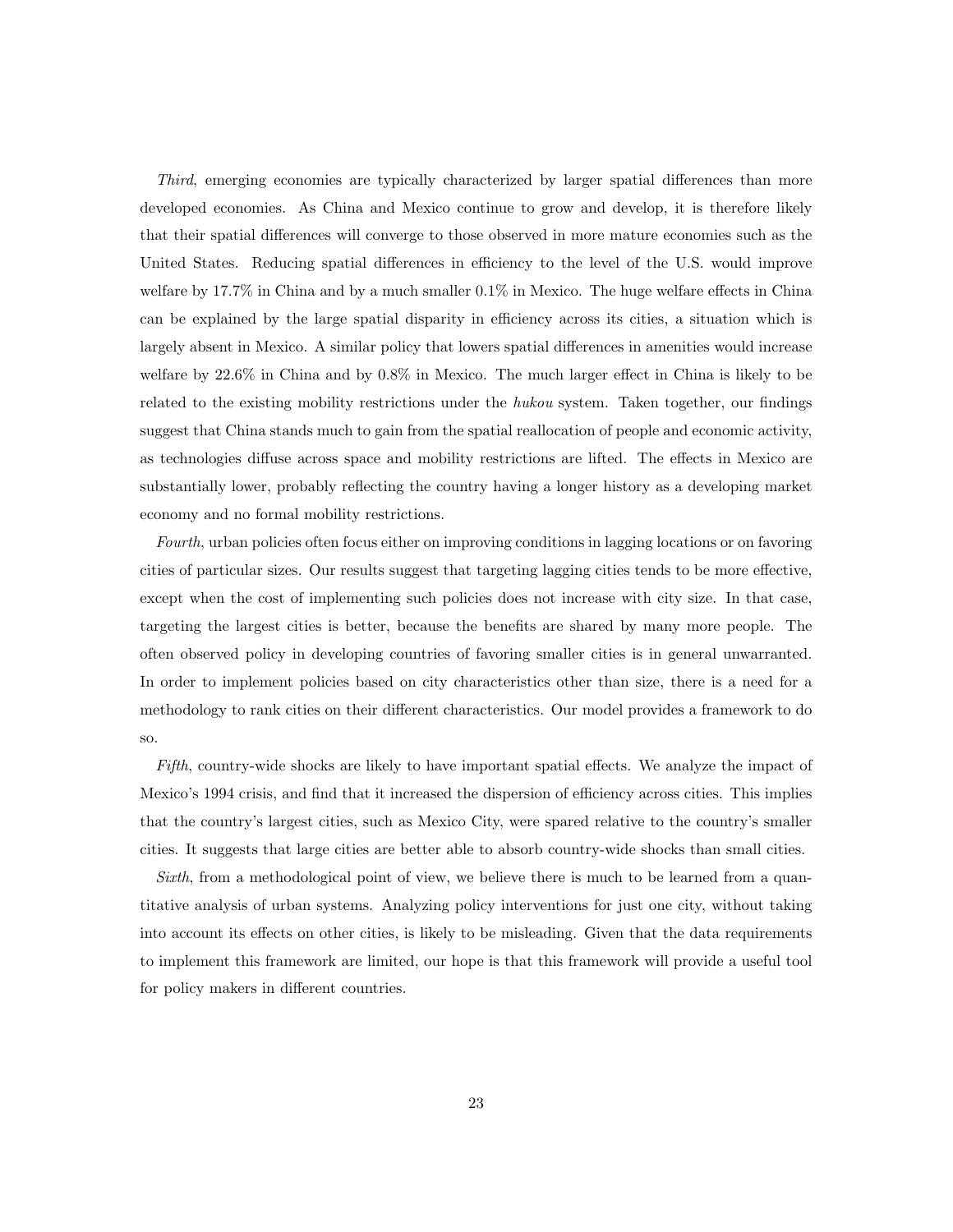Third, emerging economies are typically characterized by larger spatial differences than more developed economies. As China and Mexico continue to grow and develop, it is therefore likely that their spatial differences will converge to those observed in more mature economies such as the United States. Reducing spatial differences in efficiency to the level of the U.S. would improve welfare by 17.7% in China and by a much smaller 0.1% in Mexico. The huge welfare effects in China can be explained by the large spatial disparity in efficiency across its cities, a situation which is largely absent in Mexico. A similar policy that lowers spatial differences in amenities would increase welfare by 22.6% in China and by 0.8% in Mexico. The much larger effect in China is likely to be related to the existing mobility restrictions under the hukou system. Taken together, our findings suggest that China stands much to gain from the spatial reallocation of people and economic activity, as technologies diffuse across space and mobility restrictions are lifted. The effects in Mexico are substantially lower, probably reflecting the country having a longer history as a developing market economy and no formal mobility restrictions.

Fourth, urban policies often focus either on improving conditions in lagging locations or on favoring cities of particular sizes. Our results suggest that targeting lagging cities tends to be more effective, except when the cost of implementing such policies does not increase with city size. In that case, targeting the largest cities is better, because the benefits are shared by many more people. The often observed policy in developing countries of favoring smaller cities is in general unwarranted. In order to implement policies based on city characteristics other than size, there is a need for a methodology to rank cities on their different characteristics. Our model provides a framework to do so.

Fifth, country-wide shocks are likely to have important spatial effects. We analyze the impact of Mexico's 1994 crisis, and find that it increased the dispersion of efficiency across cities. This implies that the country's largest cities, such as Mexico City, were spared relative to the country's smaller cities. It suggests that large cities are better able to absorb country-wide shocks than small cities.

Sixth, from a methodological point of view, we believe there is much to be learned from a quantitative analysis of urban systems. Analyzing policy interventions for just one city, without taking into account its effects on other cities, is likely to be misleading. Given that the data requirements to implement this framework are limited, our hope is that this framework will provide a useful tool for policy makers in different countries.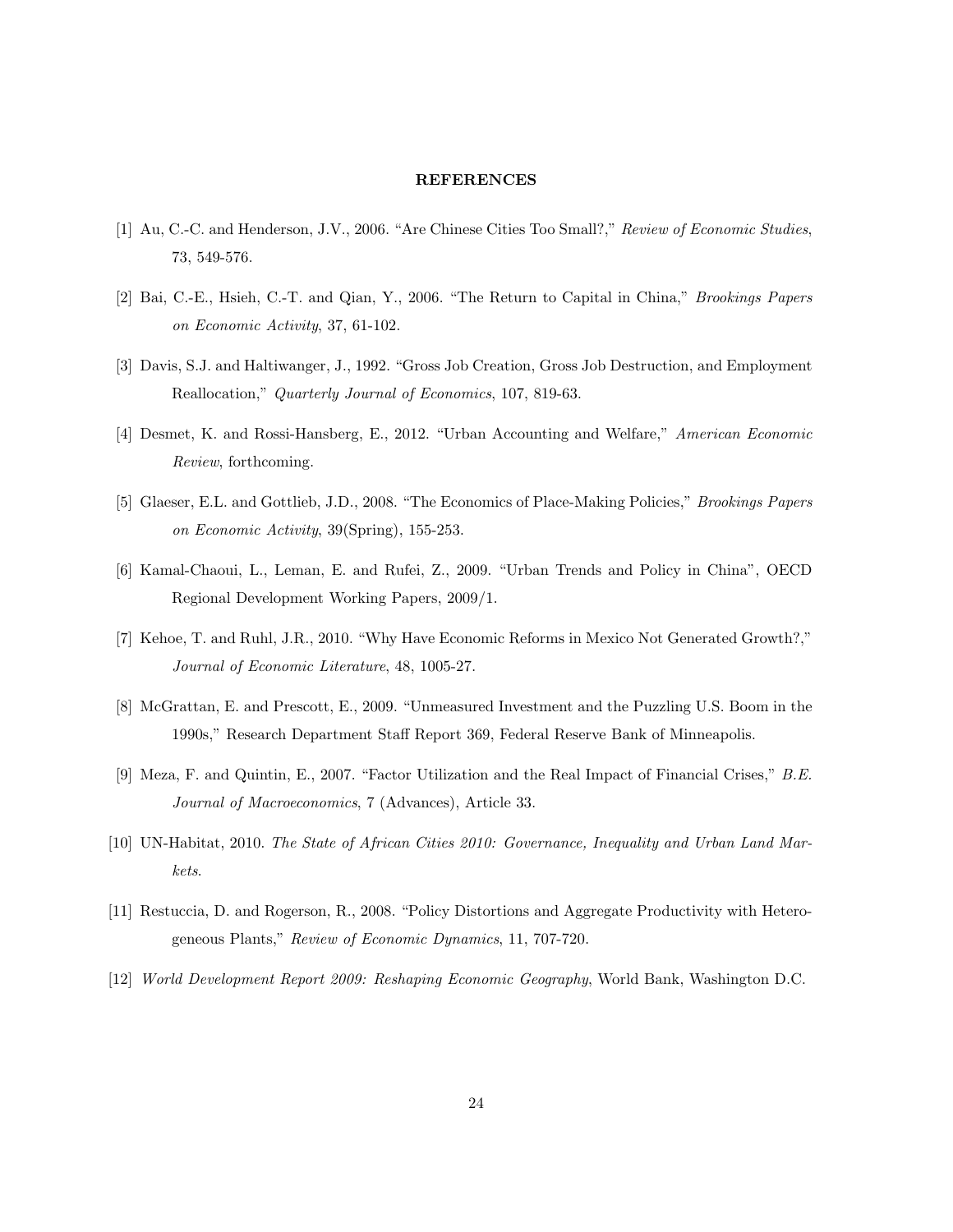#### **REFERENCES**

- [1] Au, C.-C. and Henderson, J.V., 2006. "Are Chinese Cities Too Small?," Review of Economic Studies, 73, 549-576.
- [2] Bai, C.-E., Hsieh, C.-T. and Qian, Y., 2006. "The Return to Capital in China," Brookings Papers on Economic Activity, 37, 61-102.
- [3] Davis, S.J. and Haltiwanger, J., 1992. "Gross Job Creation, Gross Job Destruction, and Employment Reallocation," Quarterly Journal of Economics, 107, 819-63.
- [4] Desmet, K. and Rossi-Hansberg, E., 2012. "Urban Accounting and Welfare," American Economic Review, forthcoming.
- [5] Glaeser, E.L. and Gottlieb, J.D., 2008. "The Economics of Place-Making Policies," Brookings Papers on Economic Activity, 39(Spring), 155-253.
- [6] Kamal-Chaoui, L., Leman, E. and Rufei, Z., 2009. "Urban Trends and Policy in China", OECD Regional Development Working Papers, 2009/1.
- [7] Kehoe, T. and Ruhl, J.R., 2010. "Why Have Economic Reforms in Mexico Not Generated Growth?," Journal of Economic Literature, 48, 1005-27.
- [8] McGrattan, E. and Prescott, E., 2009. "Unmeasured Investment and the Puzzling U.S. Boom in the 1990s," Research Department Staff Report 369, Federal Reserve Bank of Minneapolis.
- [9] Meza, F. and Quintin, E., 2007. "Factor Utilization and the Real Impact of Financial Crises," B.E. Journal of Macroeconomics, 7 (Advances), Article 33.
- [10] UN-Habitat, 2010. The State of African Cities 2010: Governance, Inequality and Urban Land Markets.
- [11] Restuccia, D. and Rogerson, R., 2008. "Policy Distortions and Aggregate Productivity with Heterogeneous Plants," Review of Economic Dynamics, 11, 707-720.
- [12] World Development Report 2009: Reshaping Economic Geography, World Bank, Washington D.C.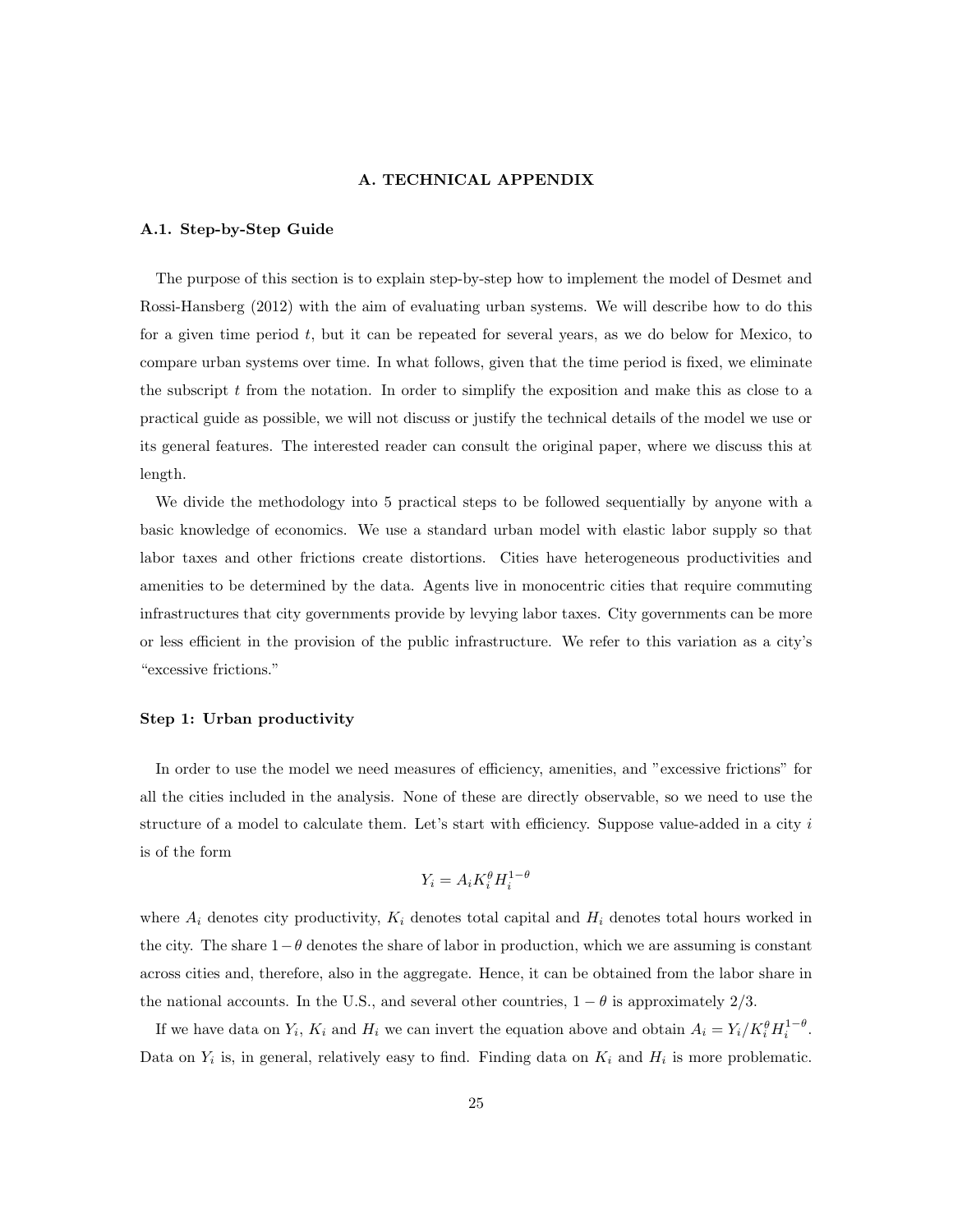#### A. TECHNICAL APPENDIX

#### A.1. Step-by-Step Guide

The purpose of this section is to explain step-by-step how to implement the model of Desmet and Rossi-Hansberg (2012) with the aim of evaluating urban systems. We will describe how to do this for a given time period  $t$ , but it can be repeated for several years, as we do below for Mexico, to compare urban systems over time. In what follows, given that the time period is fixed, we eliminate the subscript  $t$  from the notation. In order to simplify the exposition and make this as close to a practical guide as possible, we will not discuss or justify the technical details of the model we use or its general features. The interested reader can consult the original paper, where we discuss this at length.

We divide the methodology into 5 practical steps to be followed sequentially by anyone with a basic knowledge of economics. We use a standard urban model with elastic labor supply so that labor taxes and other frictions create distortions. Cities have heterogeneous productivities and amenities to be determined by the data. Agents live in monocentric cities that require commuting infrastructures that city governments provide by levying labor taxes. City governments can be more or less efficient in the provision of the public infrastructure. We refer to this variation as a city's "excessive frictions."

#### Step 1: Urban productivity

In order to use the model we need measures of efficiency, amenities, and "excessive frictions" for all the cities included in the analysis. None of these are directly observable, so we need to use the structure of a model to calculate them. Let's start with efficiency. Suppose value-added in a city  $i$ is of the form

$$
Y_i = A_i K_i^{\theta} H_i^{1-\theta}
$$

where  $A_i$  denotes city productivity,  $K_i$  denotes total capital and  $H_i$  denotes total hours worked in the city. The share  $1-\theta$  denotes the share of labor in production, which we are assuming is constant across cities and, therefore, also in the aggregate. Hence, it can be obtained from the labor share in the national accounts. In the U.S., and several other countries,  $1 - \theta$  is approximately 2/3.

If we have data on  $Y_i$ ,  $K_i$  and  $H_i$  we can invert the equation above and obtain  $A_i = Y_i / K_i^{\theta} H_i^{1-\theta}$ . Data on  $Y_i$  is, in general, relatively easy to find. Finding data on  $K_i$  and  $H_i$  is more problematic.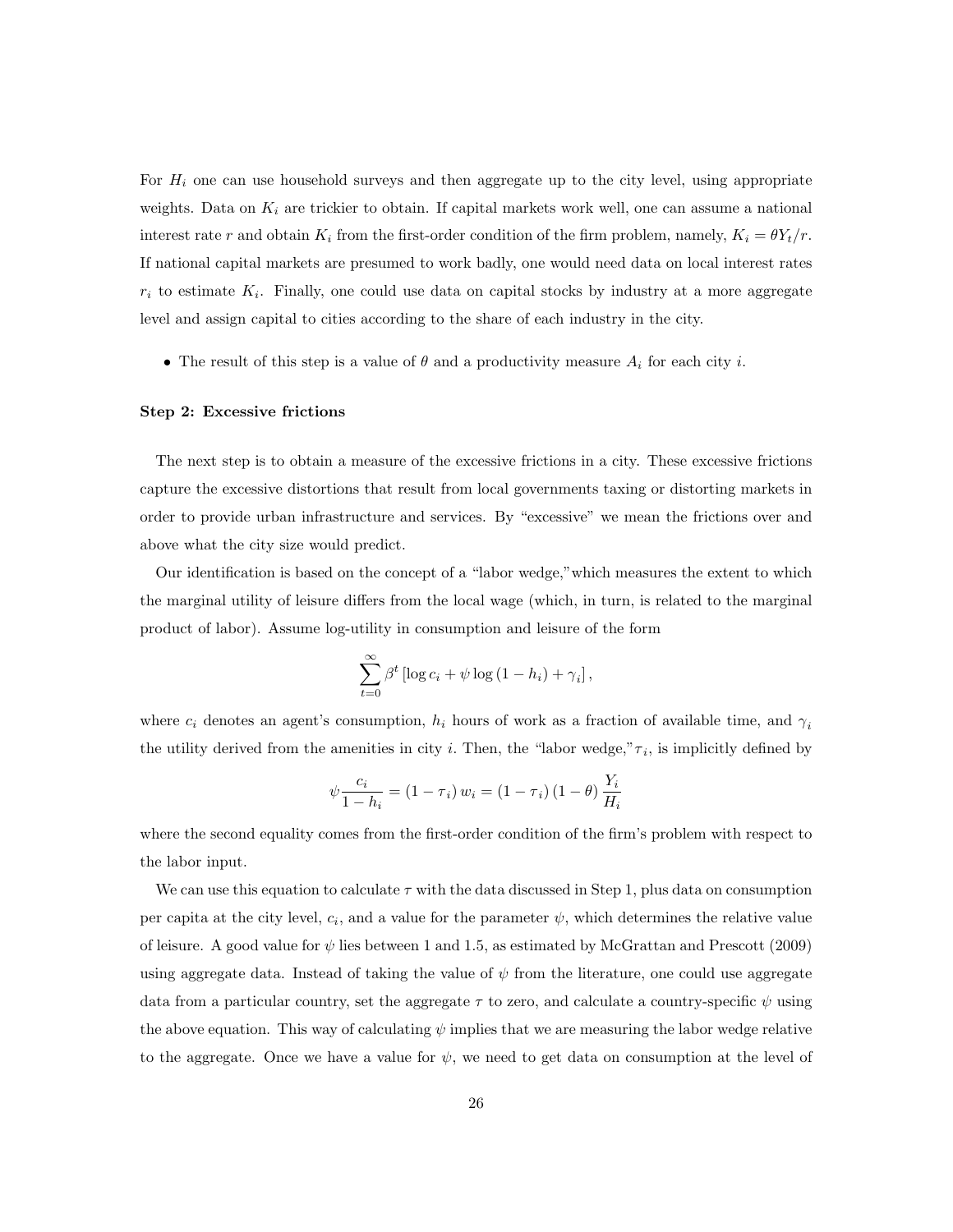For  $H_i$  one can use household surveys and then aggregate up to the city level, using appropriate weights. Data on  $K_i$  are trickier to obtain. If capital markets work well, one can assume a national interest rate r and obtain  $K_i$  from the first-order condition of the firm problem, namely,  $K_i = \theta Y_t/r$ . If national capital markets are presumed to work badly, one would need data on local interest rates  $r_i$  to estimate  $K_i$ . Finally, one could use data on capital stocks by industry at a more aggregate level and assign capital to cities according to the share of each industry in the city.

• The result of this step is a value of  $\theta$  and a productivity measure  $A_i$  for each city i.

#### Step 2: Excessive frictions

The next step is to obtain a measure of the excessive frictions in a city. These excessive frictions capture the excessive distortions that result from local governments taxing or distorting markets in order to provide urban infrastructure and services. By "excessive" we mean the frictions over and above what the city size would predict.

Our identification is based on the concept of a "labor wedge,"which measures the extent to which the marginal utility of leisure differs from the local wage (which, in turn, is related to the marginal product of labor). Assume log-utility in consumption and leisure of the form

$$
\sum_{t=0}^{\infty} \beta^t \left[ \log c_i + \psi \log (1 - h_i) + \gamma_i \right],
$$

where  $c_i$  denotes an agent's consumption,  $h_i$  hours of work as a fraction of available time, and  $\gamma_i$ the utility derived from the amenities in city *i*. Then, the "labor wedge," $\tau_i$ , is implicitly defined by

$$
\psi \frac{c_i}{1 - h_i} = (1 - \tau_i) w_i = (1 - \tau_i) (1 - \theta) \frac{Y_i}{H_i}
$$

where the second equality comes from the first-order condition of the firm's problem with respect to the labor input.

We can use this equation to calculate  $\tau$  with the data discussed in Step 1, plus data on consumption per capita at the city level,  $c_i$ , and a value for the parameter  $\psi$ , which determines the relative value of leisure. A good value for  $\psi$  lies between 1 and 1.5, as estimated by McGrattan and Prescott (2009) using aggregate data. Instead of taking the value of  $\psi$  from the literature, one could use aggregate data from a particular country, set the aggregate  $\tau$  to zero, and calculate a country-specific  $\psi$  using the above equation. This way of calculating  $\psi$  implies that we are measuring the labor wedge relative to the aggregate. Once we have a value for  $\psi$ , we need to get data on consumption at the level of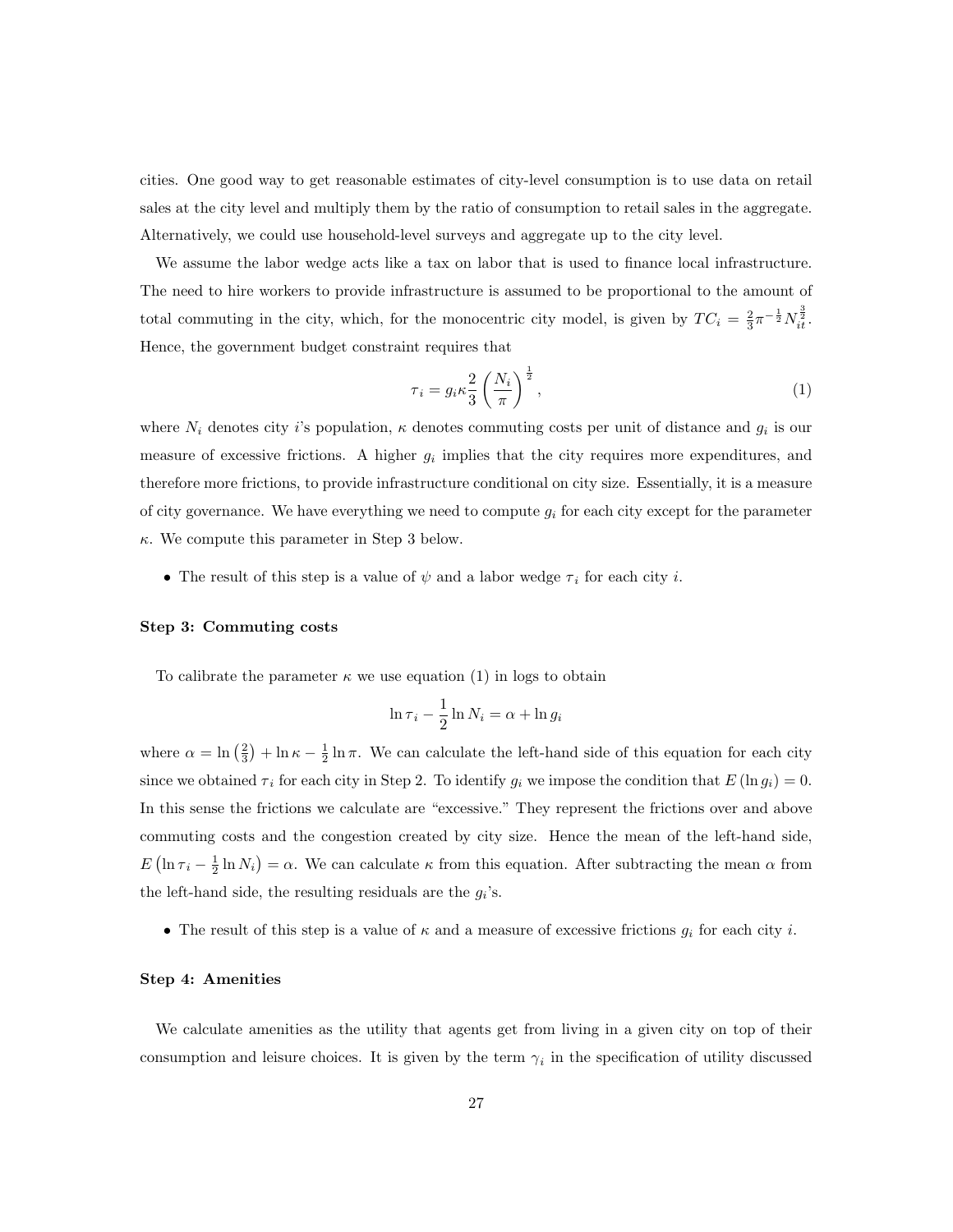cities. One good way to get reasonable estimates of city-level consumption is to use data on retail sales at the city level and multiply them by the ratio of consumption to retail sales in the aggregate. Alternatively, we could use household-level surveys and aggregate up to the city level.

We assume the labor wedge acts like a tax on labor that is used to finance local infrastructure. The need to hire workers to provide infrastructure is assumed to be proportional to the amount of total commuting in the city, which, for the monocentric city model, is given by  $TC_i = \frac{2}{3}\pi^{-\frac{1}{2}}N_{it}^{\frac{3}{2}}$ . Hence, the government budget constraint requires that

$$
\tau_i = g_i \kappa \frac{2}{3} \left( \frac{N_i}{\pi} \right)^{\frac{1}{2}},\tag{1}
$$

where  $N_i$  denotes city i's population,  $\kappa$  denotes commuting costs per unit of distance and  $g_i$  is our measure of excessive frictions. A higher  $g_i$  implies that the city requires more expenditures, and therefore more frictions, to provide infrastructure conditional on city size. Essentially, it is a measure of city governance. We have everything we need to compute  $g_i$  for each city except for the parameter  $\kappa$ . We compute this parameter in Step 3 below.

• The result of this step is a value of  $\psi$  and a labor wedge  $\tau_i$  for each city i.

#### Step 3: Commuting costs

To calibrate the parameter  $\kappa$  we use equation (1) in logs to obtain

$$
\ln \tau_i - \frac{1}{2} \ln N_i = \alpha + \ln g_i
$$

where  $\alpha = \ln\left(\frac{2}{3}\right) + \ln \kappa - \frac{1}{2} \ln \pi$ . We can calculate the left-hand side of this equation for each city since we obtained  $\tau_i$  for each city in Step 2. To identify  $g_i$  we impose the condition that  $E(\ln g_i) = 0$ . In this sense the frictions we calculate are "excessive." They represent the frictions over and above commuting costs and the congestion created by city size. Hence the mean of the left-hand side,  $E(\ln \tau_i - \frac{1}{2} \ln N_i) = \alpha$ . We can calculate  $\kappa$  from this equation. After subtracting the mean  $\alpha$  from the left-hand side, the resulting residuals are the  $g_i$ 's.

• The result of this step is a value of  $\kappa$  and a measure of excessive frictions  $g_i$  for each city i.

## Step 4: Amenities

We calculate amenities as the utility that agents get from living in a given city on top of their consumption and leisure choices. It is given by the term  $\gamma_i$  in the specification of utility discussed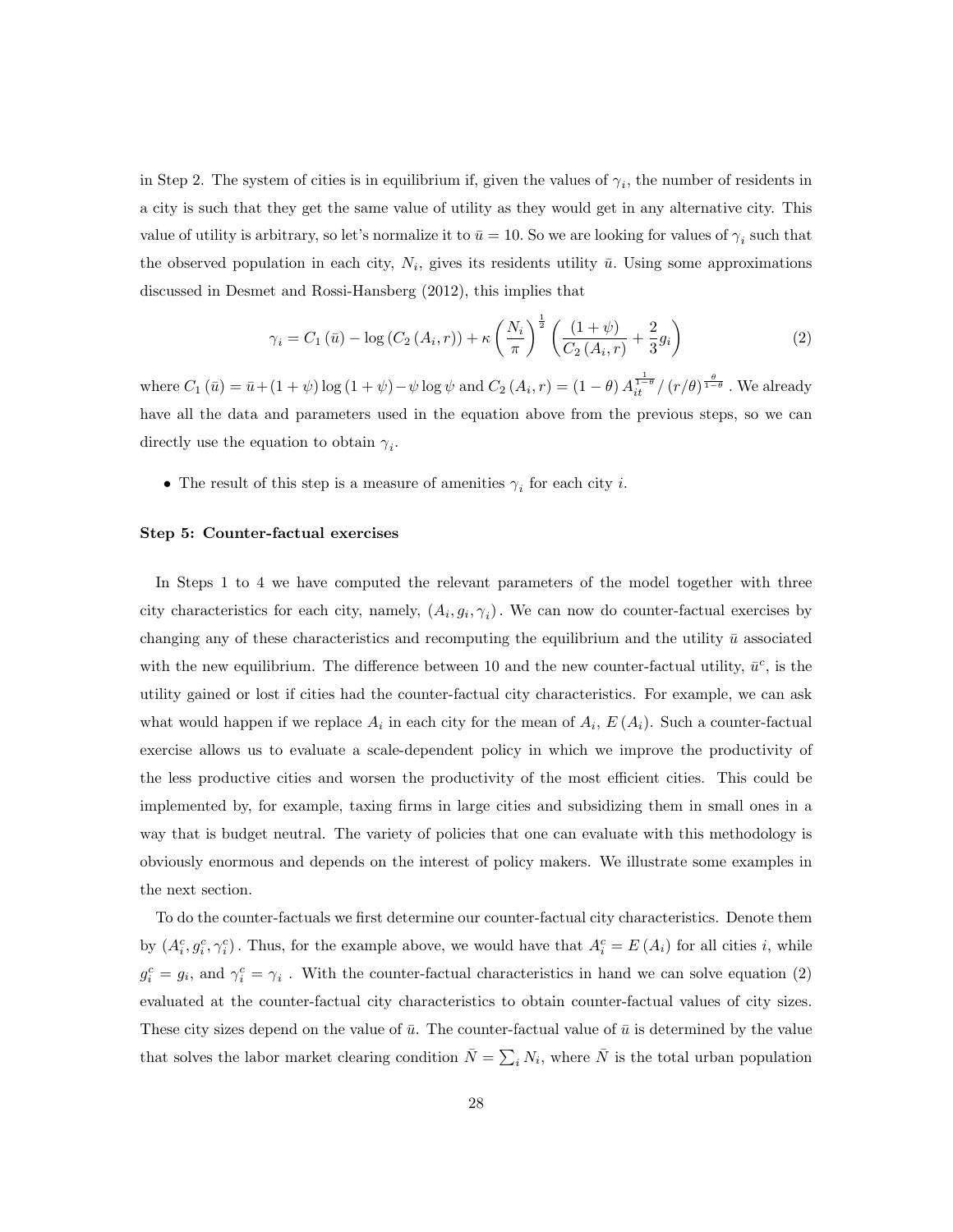in Step 2. The system of cities is in equilibrium if, given the values of  $\gamma_i$ , the number of residents in a city is such that they get the same value of utility as they would get in any alternative city. This value of utility is arbitrary, so let's normalize it to  $\bar{u} = 10$ . So we are looking for values of  $\gamma_i$  such that the observed population in each city,  $N_i$ , gives its residents utility  $\bar{u}$ . Using some approximations discussed in Desmet and Rossi-Hansberg (2012), this implies that

$$
\gamma_i = C_1(\bar{u}) - \log(C_2(A_i, r)) + \kappa \left(\frac{N_i}{\pi}\right)^{\frac{1}{2}} \left(\frac{(1+\psi)}{C_2(A_i, r)} + \frac{2}{3}g_i\right)
$$
(2)

where  $C_1(\bar{u}) = \bar{u} + (1 + \psi) \log (1 + \psi) - \psi \log \psi$  and  $C_2(A_i, r) = (1 - \theta) A_{it}^{\frac{1}{1 - \theta}} / (r/\theta)^{\frac{\theta}{1 - \theta}}$ . We already have all the data and parameters used in the equation above from the previous steps, so we can directly use the equation to obtain  $\gamma_i$ .

• The result of this step is a measure of amenities  $\gamma_i$  for each city *i*.

#### Step 5: Counter-factual exercises

In Steps 1 to 4 we have computed the relevant parameters of the model together with three city characteristics for each city, namely,  $(A_i, g_i, \gamma_i)$ . We can now do counter-factual exercises by changing any of these characteristics and recomputing the equilibrium and the utility  $\bar{u}$  associated with the new equilibrium. The difference between 10 and the new counter-factual utility,  $\bar{u}^c$ , is the utility gained or lost if cities had the counter-factual city characteristics. For example, we can ask what would happen if we replace  $A_i$  in each city for the mean of  $A_i$ ,  $E(A_i)$ . Such a counter-factual exercise allows us to evaluate a scale-dependent policy in which we improve the productivity of the less productive cities and worsen the productivity of the most efficient cities. This could be implemented by, for example, taxing firms in large cities and subsidizing them in small ones in a way that is budget neutral. The variety of policies that one can evaluate with this methodology is obviously enormous and depends on the interest of policy makers. We illustrate some examples in the next section.

To do the counter-factuals we first determine our counter-factual city characteristics. Denote them by  $(A_i^c, g_i^c, \gamma_i^c)$ . Thus, for the example above, we would have that  $A_i^c = E(A_i)$  for all cities i, while  $g_i^c = g_i$ , and  $\gamma_i^c = \gamma_i$ . With the counter-factual characteristics in hand we can solve equation (2) evaluated at the counter-factual city characteristics to obtain counter-factual values of city sizes. These city sizes depend on the value of  $\bar{u}$ . The counter-factual value of  $\bar{u}$  is determined by the value that solves the labor market clearing condition  $\bar{N} = \sum_i N_i$ , where  $\bar{N}$  is the total urban population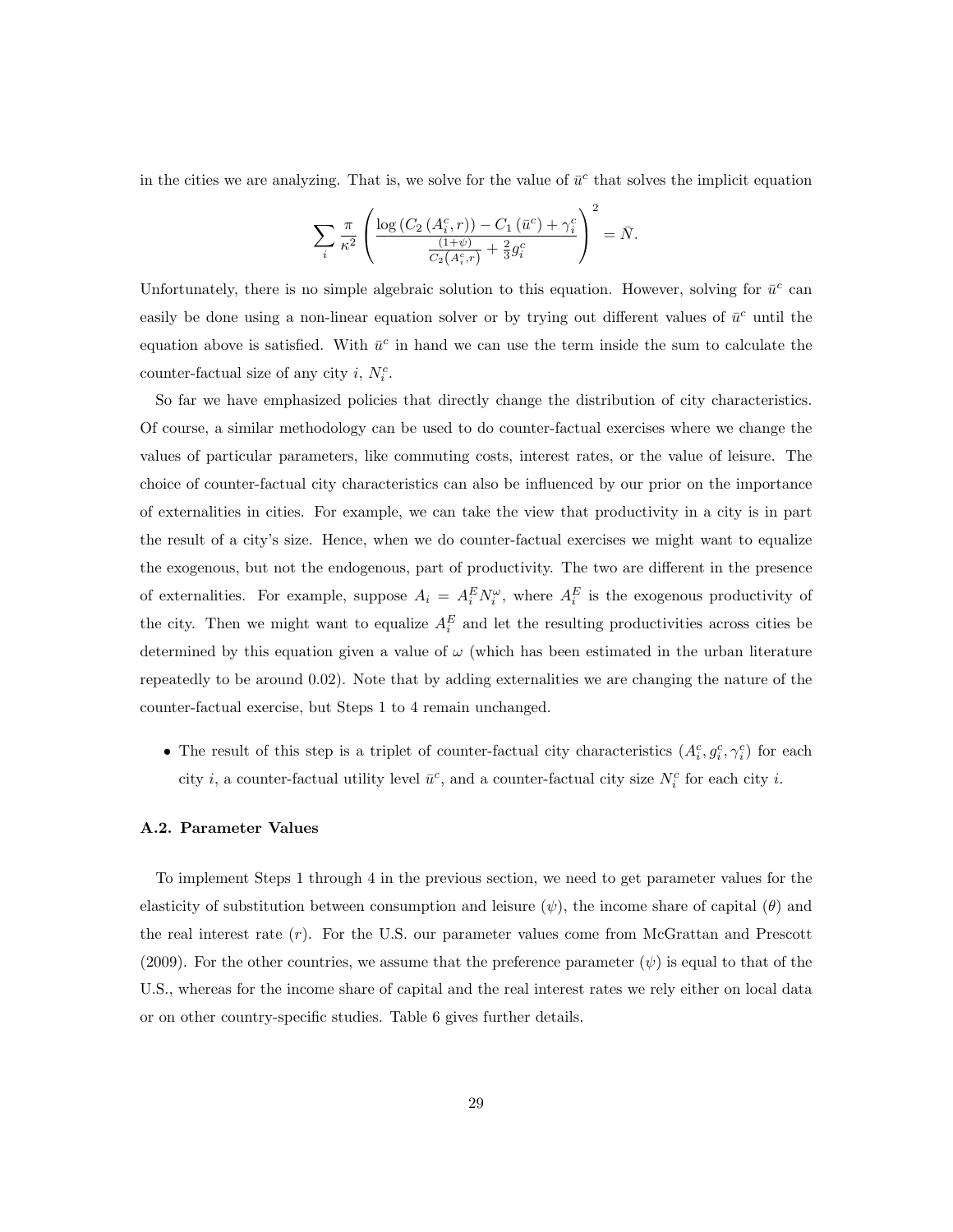in the cities we are analyzing. That is, we solve for the value of  $\bar{u}^c$  that solves the implicit equation

$$
\sum_{i} \frac{\pi}{\kappa^2} \left( \frac{\log\left(C_2\left(A_i^c, r\right)\right) - C_1\left(\bar{u}^c\right) + \gamma_i^c}{\frac{\left(1 + \psi\right)}{C_2\left(A_i^c, r\right)} + \frac{2}{3}g_i^c} \right)^2 = \bar{N}.
$$

Unfortunately, there is no simple algebraic solution to this equation. However, solving for  $\bar{u}^c$  can easily be done using a non-linear equation solver or by trying out different values of  $\bar{u}^c$  until the equation above is satisfied. With  $\bar{u}^c$  in hand we can use the term inside the sum to calculate the counter-factual size of any city i,  $N_i^c$ .

So far we have emphasized policies that directly change the distribution of city characteristics. Of course, a similar methodology can be used to do counter-factual exercises where we change the values of particular parameters, like commuting costs, interest rates, or the value of leisure. The choice of counter-factual city characteristics can also be influenced by our prior on the importance of externalities in cities. For example, we can take the view that productivity in a city is in part the result of a city's size. Hence, when we do counter-factual exercises we might want to equalize the exogenous, but not the endogenous, part of productivity. The two are different in the presence of externalities. For example, suppose  $A_i = A_i^E N_i^{\omega}$ , where  $A_i^E$  is the exogenous productivity of the city. Then we might want to equalize  $A_i^E$  and let the resulting productivities across cities be determined by this equation given a value of  $\omega$  (which has been estimated in the urban literature repeatedly to be around 0.02). Note that by adding externalities we are changing the nature of the counter-factual exercise, but Steps 1 to 4 remain unchanged.

• The result of this step is a triplet of counter-factual city characteristics  $(A_i^c, g_i^c, \gamma_i^c)$  for each city *i*, a counter-factual utility level  $\bar{u}^c$ , and a counter-factual city size  $N_i^c$  for each city *i*.

#### A.2. Parameter Values

To implement Steps 1 through 4 in the previous section, we need to get parameter values for the elasticity of substitution between consumption and leisure  $(\psi)$ , the income share of capital  $(\theta)$  and the real interest rate  $(r)$ . For the U.S. our parameter values come from McGrattan and Prescott (2009). For the other countries, we assume that the preference parameter  $(\psi)$  is equal to that of the U.S., whereas for the income share of capital and the real interest rates we rely either on local data or on other country-specific studies. Table 6 gives further details.